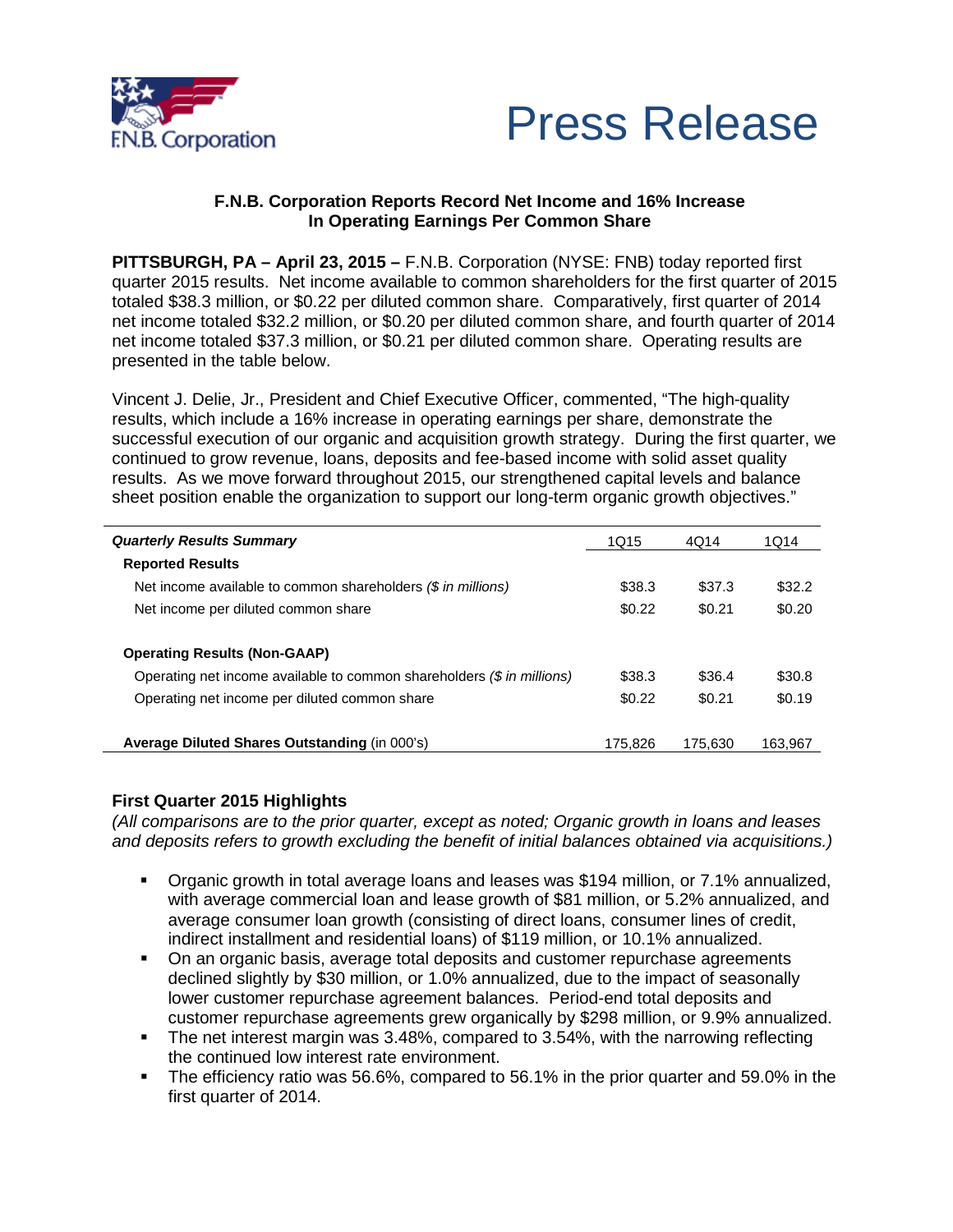



## **F.N.B. Corporation Reports Record Net Income and 16% Increase In Operating Earnings Per Common Share**

**PITTSBURGH, PA – April 23, 2015 –** F.N.B. Corporation (NYSE: FNB) today reported first quarter 2015 results. Net income available to common shareholders for the first quarter of 2015 totaled \$38.3 million, or \$0.22 per diluted common share. Comparatively, first quarter of 2014 net income totaled \$32.2 million, or \$0.20 per diluted common share, and fourth quarter of 2014 net income totaled \$37.3 million, or \$0.21 per diluted common share. Operating results are presented in the table below.

Vincent J. Delie, Jr., President and Chief Executive Officer, commented, "The high-quality results, which include a 16% increase in operating earnings per share, demonstrate the successful execution of our organic and acquisition growth strategy. During the first quarter, we continued to grow revenue, loans, deposits and fee-based income with solid asset quality results. As we move forward throughout 2015, our strengthened capital levels and balance sheet position enable the organization to support our long-term organic growth objectives."

| <b>Quarterly Results Summary</b>                                       | 1Q15    | 4Q14    | 1014    |
|------------------------------------------------------------------------|---------|---------|---------|
| <b>Reported Results</b>                                                |         |         |         |
| Net income available to common shareholders $(\$$ in millions)         | \$38.3  | \$37.3  | \$32.2  |
| Net income per diluted common share                                    | \$0.22  | \$0.21  | \$0.20  |
| <b>Operating Results (Non-GAAP)</b>                                    |         |         |         |
| Operating net income available to common shareholders (\$ in millions) | \$38.3  | \$36.4  | \$30.8  |
| Operating net income per diluted common share                          | \$0.22  | \$0.21  | \$0.19  |
| Average Diluted Shares Outstanding (in 000's)                          | 175.826 | 175.630 | 163.967 |

### **First Quarter 2015 Highlights**

*(All comparisons are to the prior quarter, except as noted; Organic growth in loans and leases and deposits refers to growth excluding the benefit of initial balances obtained via acquisitions.)*

- Organic growth in total average loans and leases was \$194 million, or 7.1% annualized, with average commercial loan and lease growth of \$81 million, or 5.2% annualized, and average consumer loan growth (consisting of direct loans, consumer lines of credit, indirect installment and residential loans) of \$119 million, or 10.1% annualized.
- On an organic basis, average total deposits and customer repurchase agreements declined slightly by \$30 million, or 1.0% annualized, due to the impact of seasonally lower customer repurchase agreement balances. Period-end total deposits and customer repurchase agreements grew organically by \$298 million, or 9.9% annualized.
- The net interest margin was 3.48%, compared to 3.54%, with the narrowing reflecting the continued low interest rate environment.
- The efficiency ratio was 56.6%, compared to 56.1% in the prior quarter and 59.0% in the first quarter of 2014.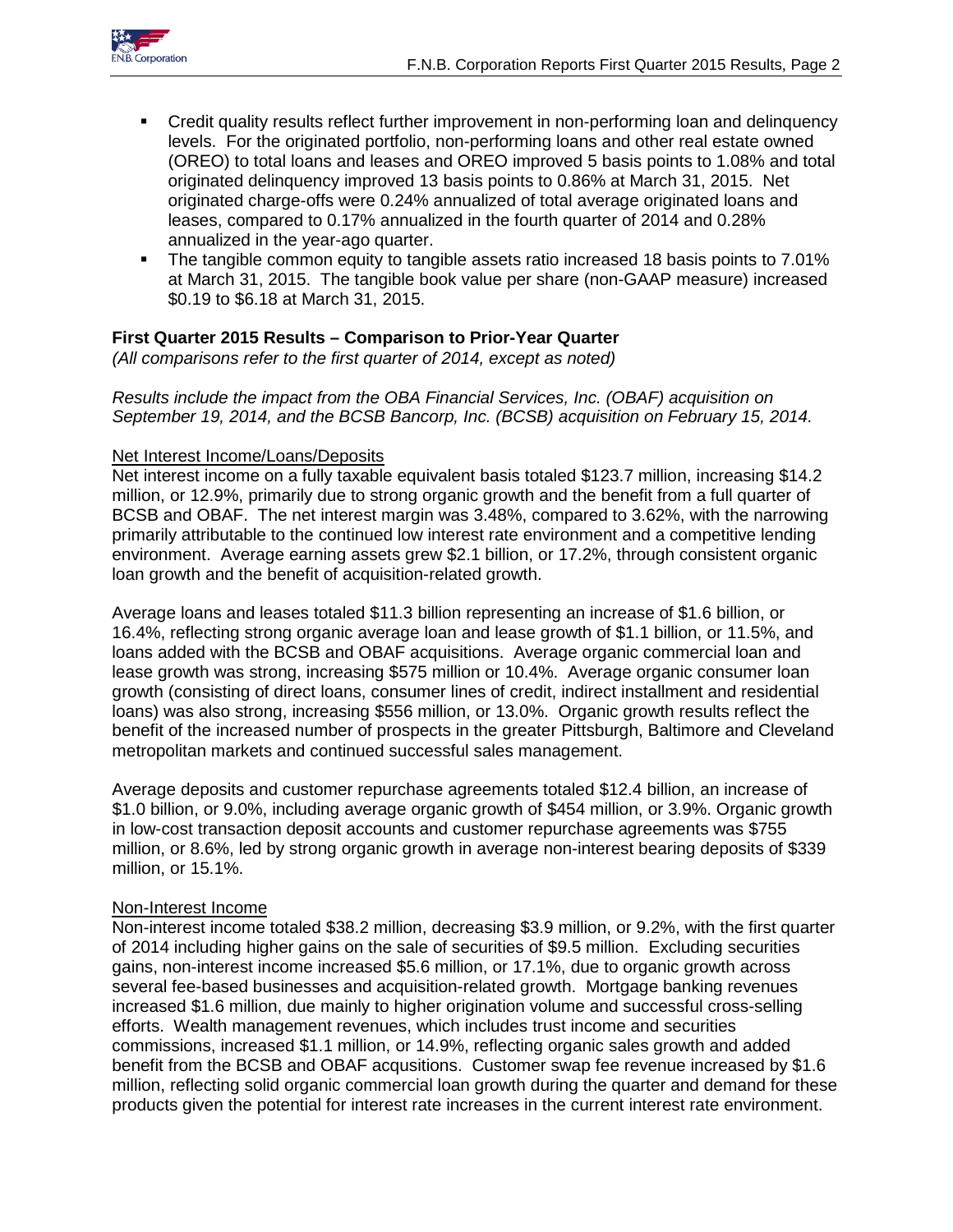

- Credit quality results reflect further improvement in non-performing loan and delinquency levels. For the originated portfolio, non-performing loans and other real estate owned (OREO) to total loans and leases and OREO improved 5 basis points to 1.08% and total originated delinquency improved 13 basis points to 0.86% at March 31, 2015. Net originated charge-offs were 0.24% annualized of total average originated loans and leases, compared to 0.17% annualized in the fourth quarter of 2014 and 0.28% annualized in the year-ago quarter.
- The tangible common equity to tangible assets ratio increased 18 basis points to 7.01% at March 31, 2015. The tangible book value per share (non-GAAP measure) increased \$0.19 to \$6.18 at March 31, 2015.

## **First Quarter 2015 Results – Comparison to Prior-Year Quarter**

*(All comparisons refer to the first quarter of 2014, except as noted)*

*Results include the impact from the OBA Financial Services, Inc. (OBAF) acquisition on September 19, 2014, and the BCSB Bancorp, Inc. (BCSB) acquisition on February 15, 2014.*

### Net Interest Income/Loans/Deposits

Net interest income on a fully taxable equivalent basis totaled \$123.7 million, increasing \$14.2 million, or 12.9%, primarily due to strong organic growth and the benefit from a full quarter of BCSB and OBAF. The net interest margin was 3.48%, compared to 3.62%, with the narrowing primarily attributable to the continued low interest rate environment and a competitive lending environment. Average earning assets grew \$2.1 billion, or 17.2%, through consistent organic loan growth and the benefit of acquisition-related growth.

Average loans and leases totaled \$11.3 billion representing an increase of \$1.6 billion, or 16.4%, reflecting strong organic average loan and lease growth of \$1.1 billion, or 11.5%, and loans added with the BCSB and OBAF acquisitions. Average organic commercial loan and lease growth was strong, increasing \$575 million or 10.4%. Average organic consumer loan growth (consisting of direct loans, consumer lines of credit, indirect installment and residential loans) was also strong, increasing \$556 million, or 13.0%. Organic growth results reflect the benefit of the increased number of prospects in the greater Pittsburgh, Baltimore and Cleveland metropolitan markets and continued successful sales management.

Average deposits and customer repurchase agreements totaled \$12.4 billion, an increase of \$1.0 billion, or 9.0%, including average organic growth of \$454 million, or 3.9%. Organic growth in low-cost transaction deposit accounts and customer repurchase agreements was \$755 million, or 8.6%, led by strong organic growth in average non-interest bearing deposits of \$339 million, or 15.1%.

### Non-Interest Income

Non-interest income totaled \$38.2 million, decreasing \$3.9 million, or 9.2%, with the first quarter of 2014 including higher gains on the sale of securities of \$9.5 million. Excluding securities gains, non-interest income increased \$5.6 million, or 17.1%, due to organic growth across several fee-based businesses and acquisition-related growth. Mortgage banking revenues increased \$1.6 million, due mainly to higher origination volume and successful cross-selling efforts. Wealth management revenues, which includes trust income and securities commissions, increased \$1.1 million, or 14.9%, reflecting organic sales growth and added benefit from the BCSB and OBAF acqusitions. Customer swap fee revenue increased by \$1.6 million, reflecting solid organic commercial loan growth during the quarter and demand for these products given the potential for interest rate increases in the current interest rate environment.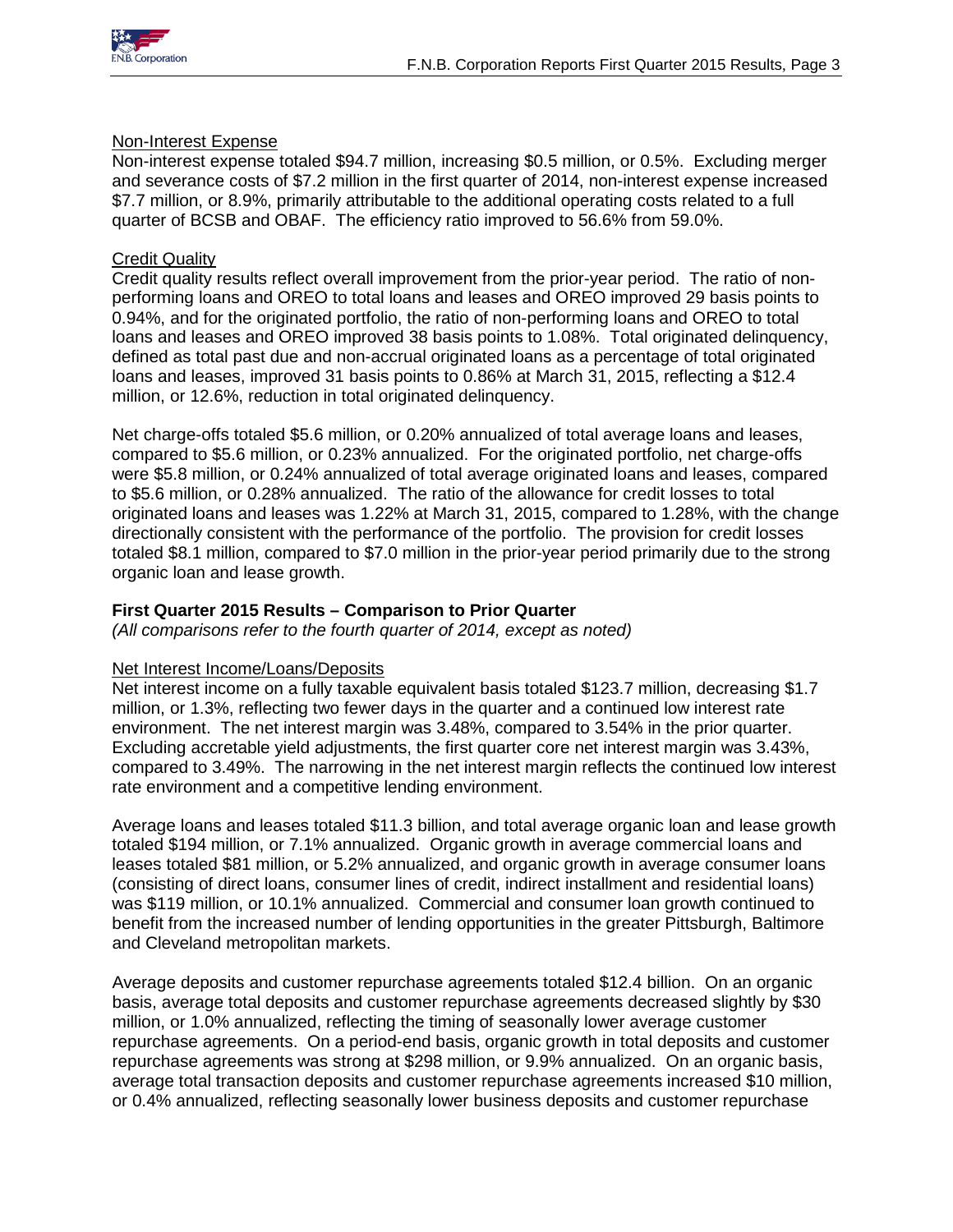

### Non-Interest Expense

Non-interest expense totaled \$94.7 million, increasing \$0.5 million, or 0.5%. Excluding merger and severance costs of \$7.2 million in the first quarter of 2014, non-interest expense increased \$7.7 million, or 8.9%, primarily attributable to the additional operating costs related to a full quarter of BCSB and OBAF. The efficiency ratio improved to 56.6% from 59.0%.

## Credit Quality

Credit quality results reflect overall improvement from the prior-year period. The ratio of nonperforming loans and OREO to total loans and leases and OREO improved 29 basis points to 0.94%, and for the originated portfolio, the ratio of non-performing loans and OREO to total loans and leases and OREO improved 38 basis points to 1.08%. Total originated delinquency, defined as total past due and non-accrual originated loans as a percentage of total originated loans and leases, improved 31 basis points to 0.86% at March 31, 2015, reflecting a \$12.4 million, or 12.6%, reduction in total originated delinquency.

Net charge-offs totaled \$5.6 million, or 0.20% annualized of total average loans and leases, compared to \$5.6 million, or 0.23% annualized. For the originated portfolio, net charge-offs were \$5.8 million, or 0.24% annualized of total average originated loans and leases, compared to \$5.6 million, or 0.28% annualized. The ratio of the allowance for credit losses to total originated loans and leases was 1.22% at March 31, 2015, compared to 1.28%, with the change directionally consistent with the performance of the portfolio. The provision for credit losses totaled \$8.1 million, compared to \$7.0 million in the prior-year period primarily due to the strong organic loan and lease growth.

### **First Quarter 2015 Results – Comparison to Prior Quarter**

*(All comparisons refer to the fourth quarter of 2014, except as noted)*

## Net Interest Income/Loans/Deposits

Net interest income on a fully taxable equivalent basis totaled \$123.7 million, decreasing \$1.7 million, or 1.3%, reflecting two fewer days in the quarter and a continued low interest rate environment. The net interest margin was 3.48%, compared to 3.54% in the prior quarter. Excluding accretable yield adjustments, the first quarter core net interest margin was 3.43%, compared to 3.49%. The narrowing in the net interest margin reflects the continued low interest rate environment and a competitive lending environment.

Average loans and leases totaled \$11.3 billion, and total average organic loan and lease growth totaled \$194 million, or 7.1% annualized. Organic growth in average commercial loans and leases totaled \$81 million, or 5.2% annualized, and organic growth in average consumer loans (consisting of direct loans, consumer lines of credit, indirect installment and residential loans) was \$119 million, or 10.1% annualized. Commercial and consumer loan growth continued to benefit from the increased number of lending opportunities in the greater Pittsburgh, Baltimore and Cleveland metropolitan markets.

Average deposits and customer repurchase agreements totaled \$12.4 billion. On an organic basis, average total deposits and customer repurchase agreements decreased slightly by \$30 million, or 1.0% annualized, reflecting the timing of seasonally lower average customer repurchase agreements. On a period-end basis, organic growth in total deposits and customer repurchase agreements was strong at \$298 million, or 9.9% annualized. On an organic basis, average total transaction deposits and customer repurchase agreements increased \$10 million, or 0.4% annualized, reflecting seasonally lower business deposits and customer repurchase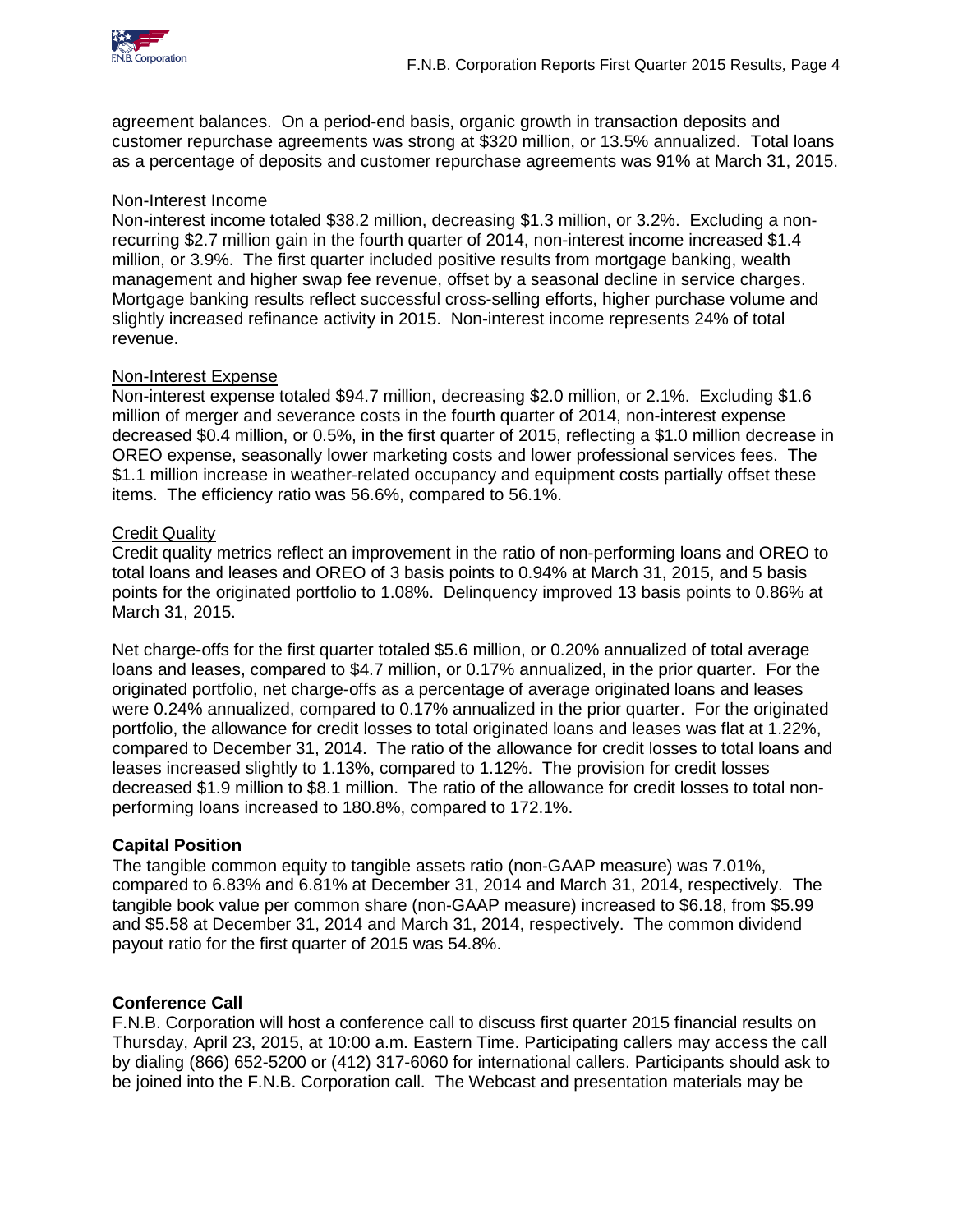

agreement balances. On a period-end basis, organic growth in transaction deposits and customer repurchase agreements was strong at \$320 million, or 13.5% annualized. Total loans as a percentage of deposits and customer repurchase agreements was 91% at March 31, 2015.

### Non-Interest Income

Non-interest income totaled \$38.2 million, decreasing \$1.3 million, or 3.2%. Excluding a nonrecurring \$2.7 million gain in the fourth quarter of 2014, non-interest income increased \$1.4 million, or 3.9%. The first quarter included positive results from mortgage banking, wealth management and higher swap fee revenue, offset by a seasonal decline in service charges. Mortgage banking results reflect successful cross-selling efforts, higher purchase volume and slightly increased refinance activity in 2015. Non-interest income represents 24% of total revenue.

### Non-Interest Expense

Non-interest expense totaled \$94.7 million, decreasing \$2.0 million, or 2.1%. Excluding \$1.6 million of merger and severance costs in the fourth quarter of 2014, non-interest expense decreased \$0.4 million, or 0.5%, in the first quarter of 2015, reflecting a \$1.0 million decrease in OREO expense, seasonally lower marketing costs and lower professional services fees. The \$1.1 million increase in weather-related occupancy and equipment costs partially offset these items. The efficiency ratio was 56.6%, compared to 56.1%.

### Credit Quality

Credit quality metrics reflect an improvement in the ratio of non-performing loans and OREO to total loans and leases and OREO of 3 basis points to 0.94% at March 31, 2015, and 5 basis points for the originated portfolio to 1.08%. Delinquency improved 13 basis points to 0.86% at March 31, 2015.

Net charge-offs for the first quarter totaled \$5.6 million, or 0.20% annualized of total average loans and leases, compared to \$4.7 million, or 0.17% annualized, in the prior quarter. For the originated portfolio, net charge-offs as a percentage of average originated loans and leases were 0.24% annualized, compared to 0.17% annualized in the prior quarter. For the originated portfolio, the allowance for credit losses to total originated loans and leases was flat at 1.22%, compared to December 31, 2014. The ratio of the allowance for credit losses to total loans and leases increased slightly to 1.13%, compared to 1.12%. The provision for credit losses decreased \$1.9 million to \$8.1 million. The ratio of the allowance for credit losses to total nonperforming loans increased to 180.8%, compared to 172.1%.

## **Capital Position**

The tangible common equity to tangible assets ratio (non-GAAP measure) was 7.01%, compared to 6.83% and 6.81% at December 31, 2014 and March 31, 2014, respectively. The tangible book value per common share (non-GAAP measure) increased to \$6.18, from \$5.99 and \$5.58 at December 31, 2014 and March 31, 2014, respectively. The common dividend payout ratio for the first quarter of 2015 was 54.8%.

### **Conference Call**

F.N.B. Corporation will host a conference call to discuss first quarter 2015 financial results on Thursday, April 23, 2015, at 10:00 a.m. Eastern Time. Participating callers may access the call by dialing (866) 652-5200 or (412) 317-6060 for international callers. Participants should ask to be joined into the F.N.B. Corporation call. The Webcast and presentation materials may be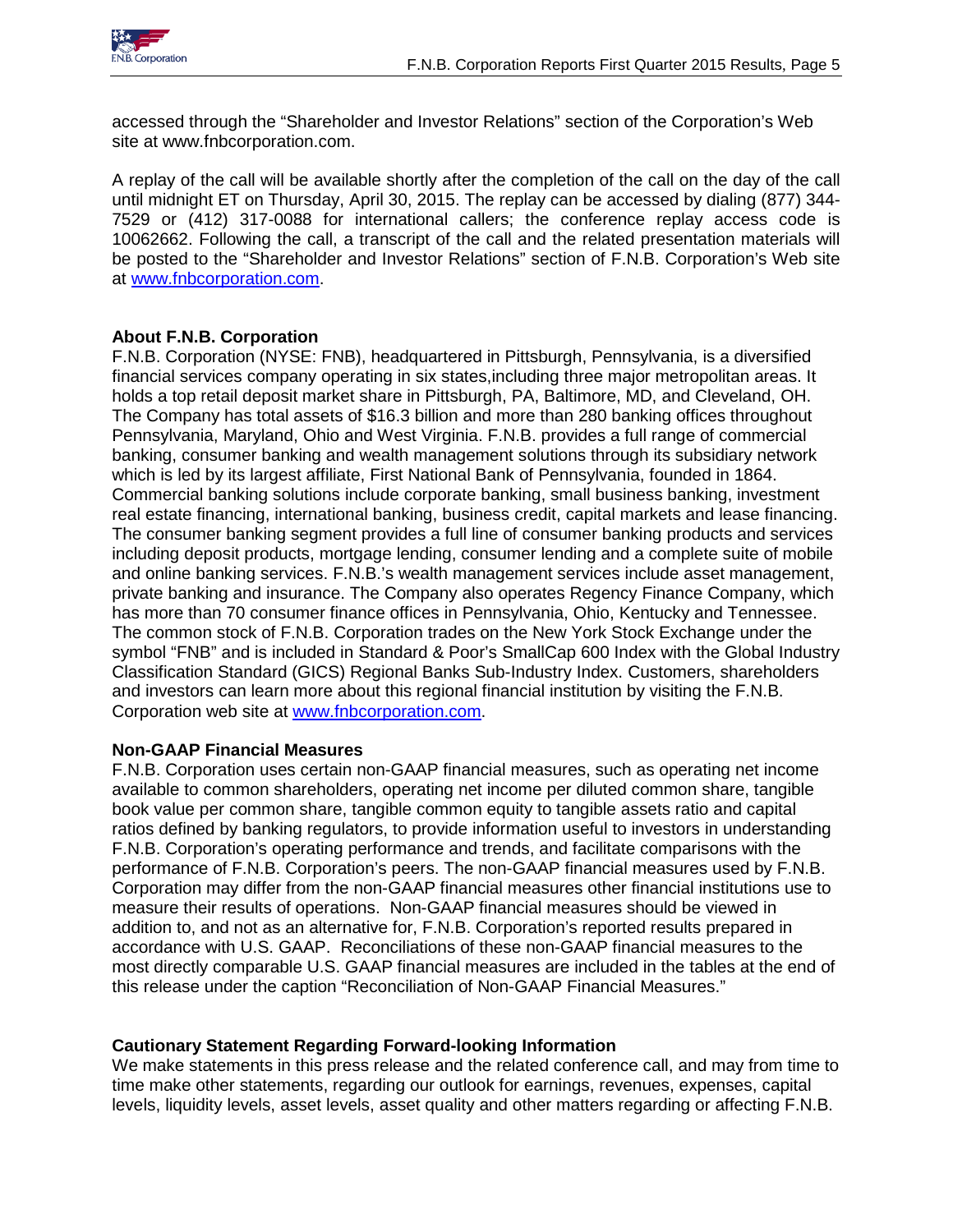

accessed through the "Shareholder and Investor Relations" section of the Corporation's Web site at www.fnbcorporation.com.

A replay of the call will be available shortly after the completion of the call on the day of the call until midnight ET on Thursday, April 30, 2015. The replay can be accessed by dialing (877) 344- 7529 or (412) 317-0088 for international callers; the conference replay access code is 10062662. Following the call, a transcript of the call and the related presentation materials will be posted to the "Shareholder and Investor Relations" section of F.N.B. Corporation's Web site at [www.fnbcorporation.com.](http://www.fnbcorporation.com/)

## **About F.N.B. Corporation**

F.N.B. Corporation (NYSE: FNB), headquartered in Pittsburgh, Pennsylvania, is a diversified financial services company operating in six states,including three major metropolitan areas. It holds a top retail deposit market share in Pittsburgh, PA, Baltimore, MD, and Cleveland, OH. The Company has total assets of \$16.3 billion and more than 280 banking offices throughout Pennsylvania, Maryland, Ohio and West Virginia. F.N.B. provides a full range of commercial banking, consumer banking and wealth management solutions through its subsidiary network which is led by its largest affiliate, First National Bank of Pennsylvania, founded in 1864. Commercial banking solutions include corporate banking, small business banking, investment real estate financing, international banking, business credit, capital markets and lease financing. The consumer banking segment provides a full line of consumer banking products and services including deposit products, mortgage lending, consumer lending and a complete suite of mobile and online banking services. F.N.B.'s wealth management services include asset management, private banking and insurance. The Company also operates Regency Finance Company, which has more than 70 consumer finance offices in Pennsylvania, Ohio, Kentucky and Tennessee. The common stock of F.N.B. Corporation trades on the New York Stock Exchange under the symbol "FNB" and is included in Standard & Poor's SmallCap 600 Index with the Global Industry Classification Standard (GICS) Regional Banks Sub-Industry Index. Customers, shareholders and investors can learn more about this regional financial institution by visiting the F.N.B. Corporation web site at [www.fnbcorporation.com.](http://www.fnbcorporation.com/)

## **Non-GAAP Financial Measures**

F.N.B. Corporation uses certain non-GAAP financial measures, such as operating net income available to common shareholders, operating net income per diluted common share, tangible book value per common share, tangible common equity to tangible assets ratio and capital ratios defined by banking regulators, to provide information useful to investors in understanding F.N.B. Corporation's operating performance and trends, and facilitate comparisons with the performance of F.N.B. Corporation's peers. The non-GAAP financial measures used by F.N.B. Corporation may differ from the non-GAAP financial measures other financial institutions use to measure their results of operations. Non-GAAP financial measures should be viewed in addition to, and not as an alternative for, F.N.B. Corporation's reported results prepared in accordance with U.S. GAAP. Reconciliations of these non-GAAP financial measures to the most directly comparable U.S. GAAP financial measures are included in the tables at the end of this release under the caption "Reconciliation of Non-GAAP Financial Measures."

## **Cautionary Statement Regarding Forward-looking Information**

We make statements in this press release and the related conference call, and may from time to time make other statements, regarding our outlook for earnings, revenues, expenses, capital levels, liquidity levels, asset levels, asset quality and other matters regarding or affecting F.N.B.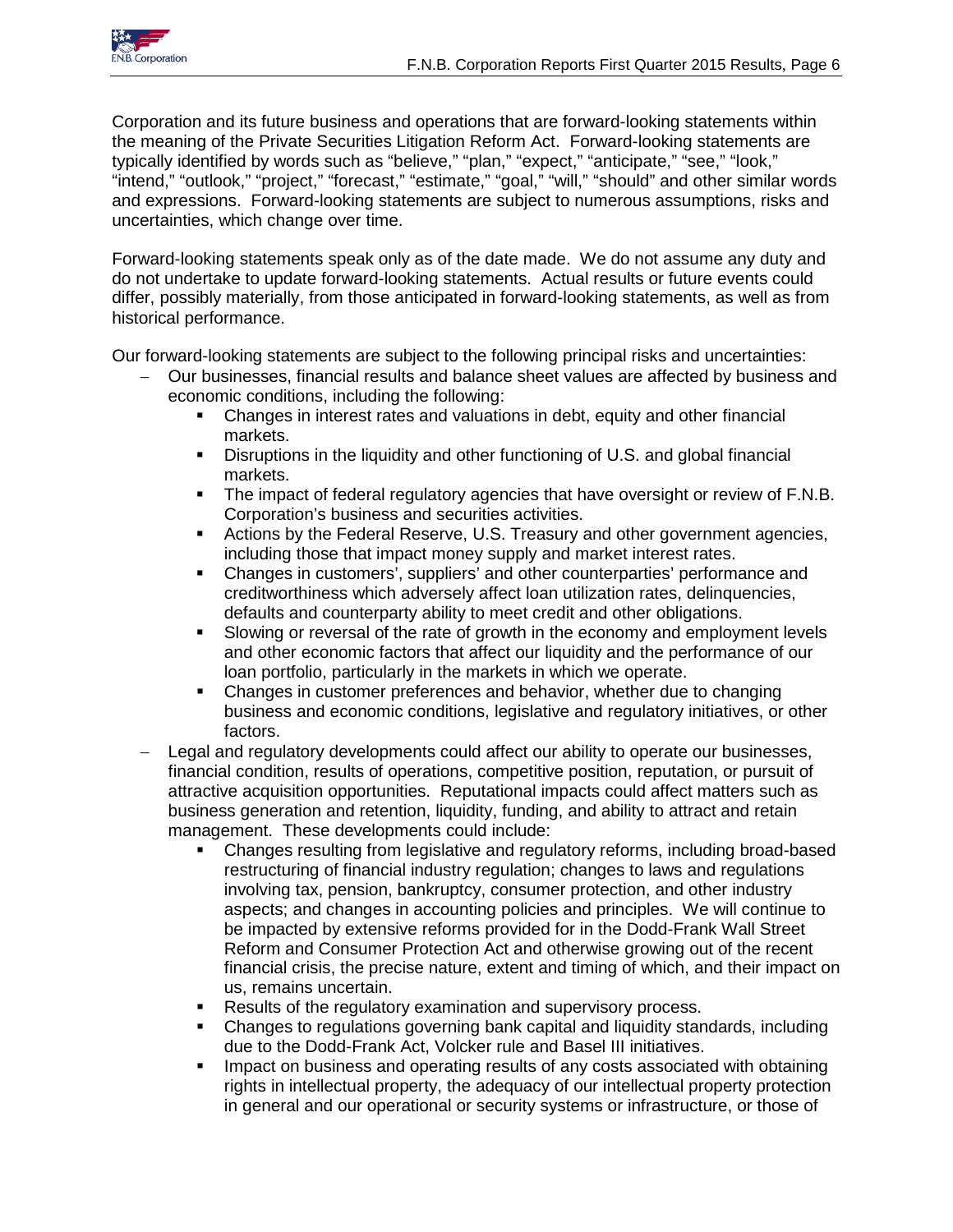

Corporation and its future business and operations that are forward-looking statements within the meaning of the Private Securities Litigation Reform Act. Forward-looking statements are typically identified by words such as "believe," "plan," "expect," "anticipate," "see," "look," "intend," "outlook," "project," "forecast," "estimate," "goal," "will," "should" and other similar words and expressions. Forward-looking statements are subject to numerous assumptions, risks and uncertainties, which change over time.

Forward-looking statements speak only as of the date made. We do not assume any duty and do not undertake to update forward-looking statements. Actual results or future events could differ, possibly materially, from those anticipated in forward-looking statements, as well as from historical performance.

Our forward-looking statements are subject to the following principal risks and uncertainties:

- − Our businesses, financial results and balance sheet values are affected by business and economic conditions, including the following:
	- Changes in interest rates and valuations in debt, equity and other financial markets.
	- Disruptions in the liquidity and other functioning of U.S. and global financial markets.
	- The impact of federal regulatory agencies that have oversight or review of F.N.B. Corporation's business and securities activities.
	- Actions by the Federal Reserve, U.S. Treasury and other government agencies, including those that impact money supply and market interest rates.
	- Changes in customers', suppliers' and other counterparties' performance and creditworthiness which adversely affect loan utilization rates, delinquencies, defaults and counterparty ability to meet credit and other obligations.
	- Slowing or reversal of the rate of growth in the economy and employment levels and other economic factors that affect our liquidity and the performance of our loan portfolio, particularly in the markets in which we operate.
	- Changes in customer preferences and behavior, whether due to changing business and economic conditions, legislative and regulatory initiatives, or other factors.
- Legal and regulatory developments could affect our ability to operate our businesses, financial condition, results of operations, competitive position, reputation, or pursuit of attractive acquisition opportunities. Reputational impacts could affect matters such as business generation and retention, liquidity, funding, and ability to attract and retain management. These developments could include:
	- Changes resulting from legislative and regulatory reforms, including broad-based restructuring of financial industry regulation; changes to laws and regulations involving tax, pension, bankruptcy, consumer protection, and other industry aspects; and changes in accounting policies and principles. We will continue to be impacted by extensive reforms provided for in the Dodd-Frank Wall Street Reform and Consumer Protection Act and otherwise growing out of the recent financial crisis, the precise nature, extent and timing of which, and their impact on us, remains uncertain.
	- Results of the regulatory examination and supervisory process.
	- Changes to regulations governing bank capital and liquidity standards, including due to the Dodd-Frank Act, Volcker rule and Basel III initiatives.
	- **IMPACT ON BUS AND STARK IN ADAM IN ADAM IN ADAM IN ADAM IN ADAM IN ADAM IN ADAM IN ADAM IN ADAM IN ADAM IN ADAM** IN DETAINING **I** rights in intellectual property, the adequacy of our intellectual property protection in general and our operational or security systems or infrastructure, or those of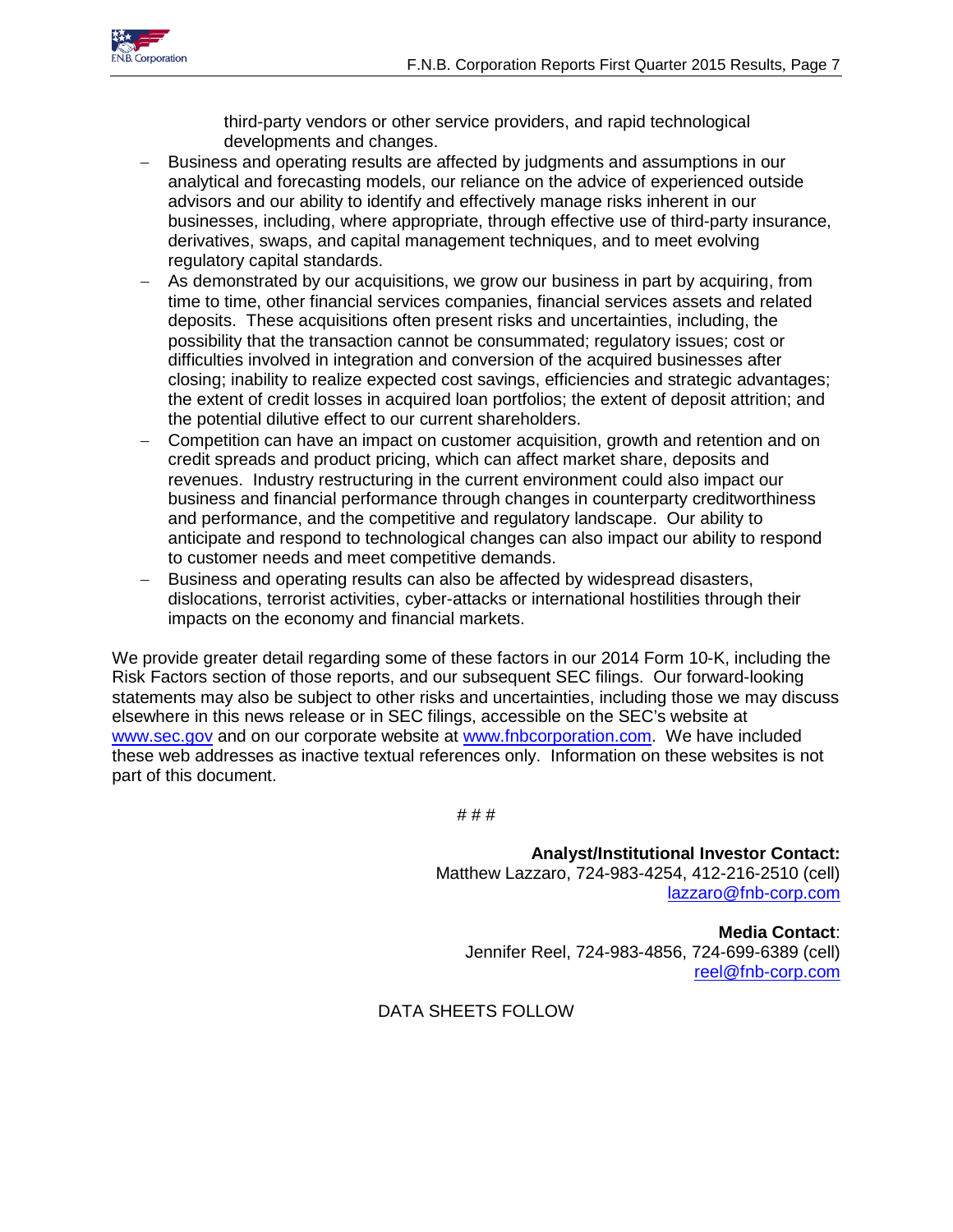

third-party vendors or other service providers, and rapid technological developments and changes.

- Business and operating results are affected by judgments and assumptions in our analytical and forecasting models, our reliance on the advice of experienced outside advisors and our ability to identify and effectively manage risks inherent in our businesses, including, where appropriate, through effective use of third-party insurance, derivatives, swaps, and capital management techniques, and to meet evolving regulatory capital standards.
- As demonstrated by our acquisitions, we grow our business in part by acquiring, from time to time, other financial services companies, financial services assets and related deposits. These acquisitions often present risks and uncertainties, including, the possibility that the transaction cannot be consummated; regulatory issues; cost or difficulties involved in integration and conversion of the acquired businesses after closing; inability to realize expected cost savings, efficiencies and strategic advantages; the extent of credit losses in acquired loan portfolios; the extent of deposit attrition; and the potential dilutive effect to our current shareholders.
- Competition can have an impact on customer acquisition, growth and retention and on credit spreads and product pricing, which can affect market share, deposits and revenues. Industry restructuring in the current environment could also impact our business and financial performance through changes in counterparty creditworthiness and performance, and the competitive and regulatory landscape. Our ability to anticipate and respond to technological changes can also impact our ability to respond to customer needs and meet competitive demands.
- − Business and operating results can also be affected by widespread disasters, dislocations, terrorist activities, cyber-attacks or international hostilities through their impacts on the economy and financial markets.

We provide greater detail regarding some of these factors in our 2014 Form 10-K, including the Risk Factors section of those reports, and our subsequent SEC filings. Our forward-looking statements may also be subject to other risks and uncertainties, including those we may discuss elsewhere in this news release or in SEC filings, accessible on the SEC's website at [www.sec.gov](http://www.sec.gov/) and on our corporate website at [www.fnbcorporation.com.](http://www.fnbcorporation.com/) We have included these web addresses as inactive textual references only. Information on these websites is not part of this document.

# # #

**Analyst/Institutional Investor Contact:** Matthew Lazzaro, 724-983-4254, 412-216-2510 (cell) [lazzaro@fnb-corp.com](mailto:lazzaro@fnb-corp.com)

**Media Contact**: Jennifer Reel, 724-983-4856, 724-699-6389 (cell) [reel@fnb-corp.com](mailto:reel@fnb-corp.com)

DATA SHEETS FOLLOW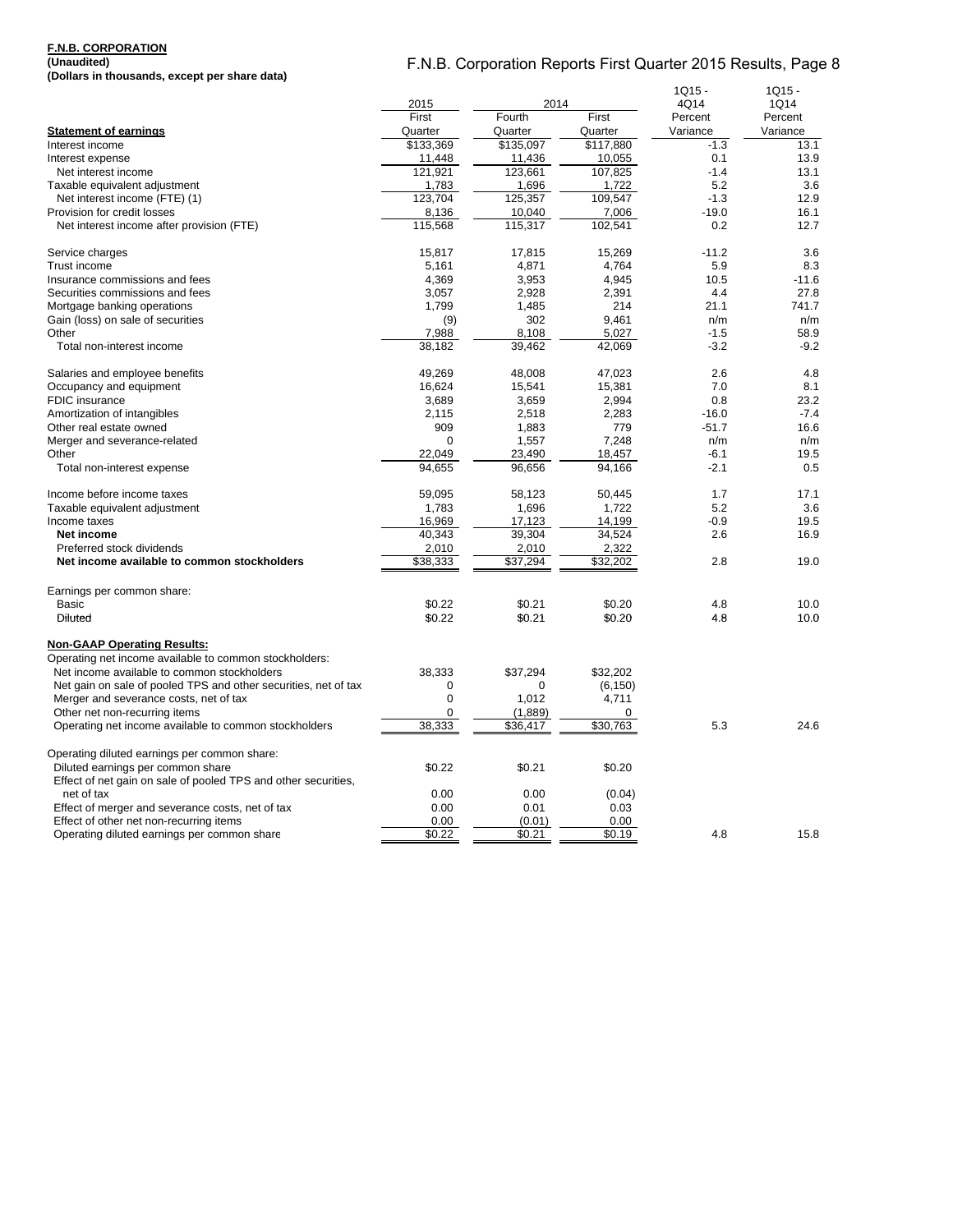#### **F.N.B. CORPORATION (Unaudited)**

**(Dollars in thousands, except per share data)**

|                                                                 | 2015<br>2014 |           | $1Q15 -$<br>4Q14 | 1Q15 -<br>1Q14 |          |
|-----------------------------------------------------------------|--------------|-----------|------------------|----------------|----------|
|                                                                 | First        | Fourth    | First            | Percent        | Percent  |
| <b>Statement of earnings</b>                                    | Quarter      | Quarter   | Quarter          | Variance       | Variance |
| Interest income                                                 | \$133,369    | \$135,097 | \$117,880        | $-1.3$         | 13.1     |
| Interest expense                                                | 11,448       | 11,436    | 10,055           | 0.1            | 13.9     |
| Net interest income                                             | 121,921      | 123,661   | 107,825          | $-1.4$         | 13.1     |
| Taxable equivalent adjustment                                   | 1,783        | 1,696     | 1,722            | 5.2            | 3.6      |
| Net interest income (FTE) (1)                                   | 123,704      | 125,357   | 109,547          | $-1.3$         | 12.9     |
| Provision for credit losses                                     | 8,136        | 10,040    | 7,006            | $-19.0$        | 16.1     |
| Net interest income after provision (FTE)                       | 115,568      | 115,317   | 102,541          | 0.2            | 12.7     |
|                                                                 |              |           |                  |                |          |
| Service charges                                                 | 15,817       | 17,815    | 15,269           | $-11.2$        | 3.6      |
| Trust income                                                    | 5,161        | 4,871     | 4,764            | 5.9            | 8.3      |
| Insurance commissions and fees                                  | 4,369        | 3,953     | 4,945            | 10.5           | $-11.6$  |
| Securities commissions and fees                                 | 3,057        | 2,928     | 2,391            | 4.4            | 27.8     |
| Mortgage banking operations                                     | 1,799        | 1,485     | 214              | 21.1           | 741.7    |
| Gain (loss) on sale of securities                               | (9)          | 302       | 9,461            | n/m            | n/m      |
| Other                                                           | 7,988        | 8,108     | 5,027            | $-1.5$         | 58.9     |
| Total non-interest income                                       | 38.182       | 39,462    | 42,069           | $-3.2$         | $-9.2$   |
| Salaries and employee benefits                                  | 49,269       | 48,008    | 47,023           | 2.6            | 4.8      |
| Occupancy and equipment                                         | 16,624       | 15,541    | 15,381           | 7.0            | 8.1      |
| <b>FDIC</b> insurance                                           | 3,689        | 3,659     | 2,994            | 0.8            | 23.2     |
| Amortization of intangibles                                     | 2,115        | 2,518     | 2,283            | $-16.0$        | $-7.4$   |
| Other real estate owned                                         | 909          | 1,883     | 779              | $-51.7$        | 16.6     |
| Merger and severance-related                                    | $\Omega$     | 1,557     | 7,248            | n/m            | n/m      |
| Other                                                           | 22,049       | 23,490    | 18,457           | $-6.1$         | 19.5     |
| Total non-interest expense                                      | 94.655       | 96.656    | 94,166           | $-2.1$         | 0.5      |
| Income before income taxes                                      | 59,095       | 58,123    | 50,445           | 1.7            | 17.1     |
| Taxable equivalent adjustment                                   | 1,783        | 1,696     | 1,722            | 5.2            | 3.6      |
| Income taxes                                                    | 16,969       | 17,123    | 14,199           | $-0.9$         | 19.5     |
| Net income                                                      | 40,343       | 39,304    | 34,524           | 2.6            | 16.9     |
| Preferred stock dividends                                       | 2,010        | 2,010     | 2,322            |                |          |
| Net income available to common stockholders                     |              |           |                  | 2.8            | 19.0     |
|                                                                 | \$38,333     | \$37,294  | \$32,202         |                |          |
| Earnings per common share:                                      |              |           |                  |                |          |
| <b>Basic</b>                                                    | \$0.22       | \$0.21    | \$0.20           | 4.8            | 10.0     |
| Diluted                                                         | \$0.22       | \$0.21    | \$0.20           | 4.8            | 10.0     |
| <b>Non-GAAP Operating Results:</b>                              |              |           |                  |                |          |
| Operating net income available to common stockholders:          |              |           |                  |                |          |
| Net income available to common stockholders                     | 38,333       | \$37,294  | \$32.202         |                |          |
| Net gain on sale of pooled TPS and other securities, net of tax | $\mathbf 0$  | $\Omega$  | (6, 150)         |                |          |
| Merger and severance costs, net of tax                          | $\mathbf 0$  | 1,012     | 4,711            |                |          |
| Other net non-recurring items                                   | $\mathbf 0$  | (1,889)   | 0                |                |          |
| Operating net income available to common stockholders           | 38,333       | \$36,417  | \$30,763         | 5.3            | 24.6     |
| Operating diluted earnings per common share:                    |              |           |                  |                |          |
| Diluted earnings per common share                               | \$0.22       | \$0.21    | \$0.20           |                |          |
| Effect of net gain on sale of pooled TPS and other securities,  |              |           |                  |                |          |
| net of tax                                                      | 0.00         | 0.00      |                  |                |          |
|                                                                 |              |           | (0.04)           |                |          |
| Effect of merger and severance costs, net of tax                | 0.00         | 0.01      | 0.03             |                |          |
| Effect of other net non-recurring items                         | 0.00         | (0.01)    | 0.00             |                |          |
| Operating diluted earnings per common share                     | \$0.22       | \$0.21    | \$0.19           | 4.8            | 15.8     |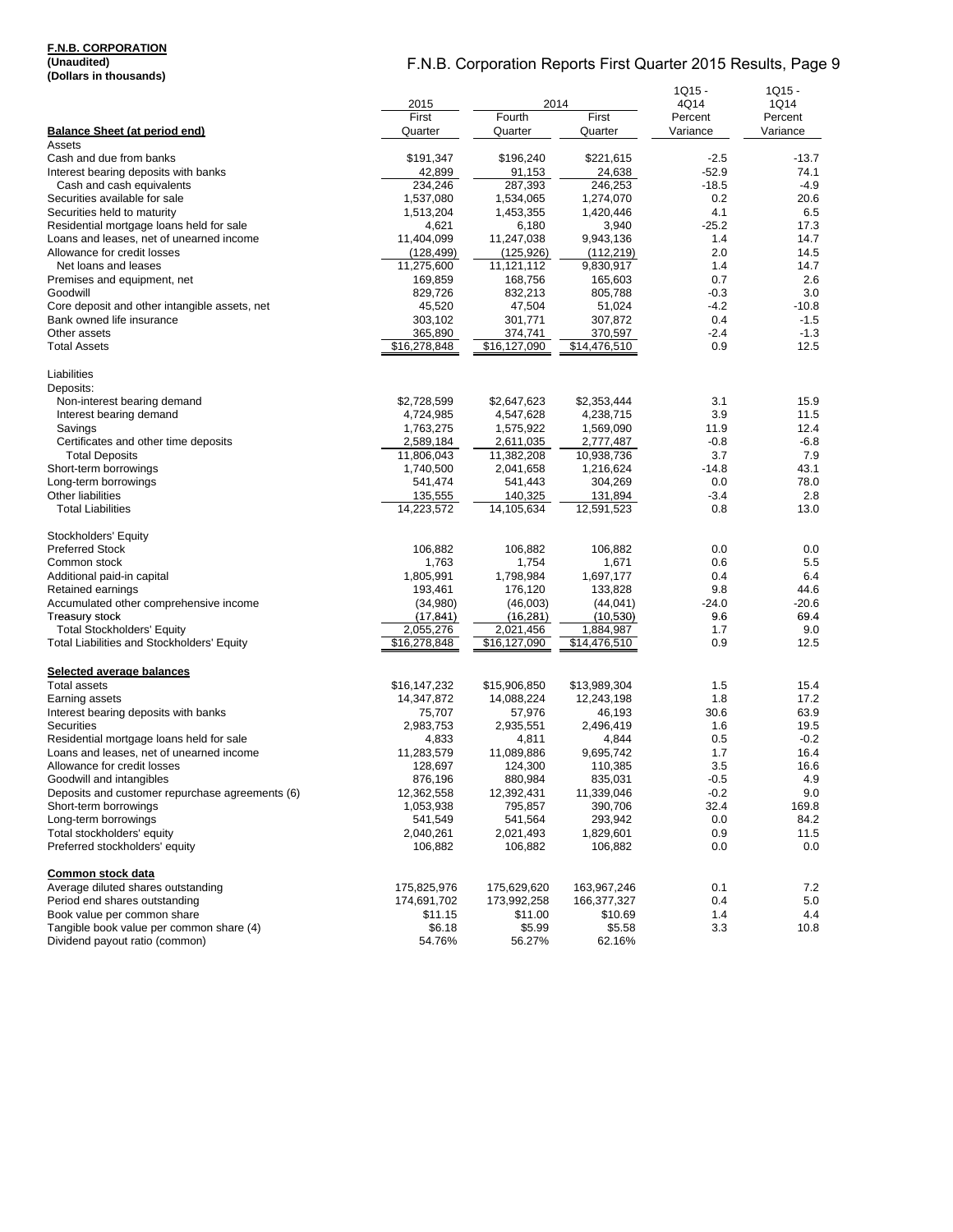#### **F.N.B. CORPORATION**

**(Unaudited) (Dollars in thousands)**

|                                                                            |                    |                       | $1Q15 -$           | $1Q15 -$            |                     |
|----------------------------------------------------------------------------|--------------------|-----------------------|--------------------|---------------------|---------------------|
|                                                                            | 2015               |                       | 2014               | 4Q14                | 1Q14                |
| <b>Balance Sheet (at period end)</b>                                       | First<br>Quarter   | Fourth<br>Quarter     | First<br>Quarter   | Percent<br>Variance | Percent<br>Variance |
| Assets                                                                     |                    |                       |                    |                     |                     |
| Cash and due from banks                                                    | \$191,347          | \$196,240             | \$221,615          | $-2.5$              | -13.7               |
| Interest bearing deposits with banks                                       | 42,899             | 91,153                | 24,638             | $-52.9$             | 74.1                |
| Cash and cash equivalents                                                  | 234,246            | 287,393               | 246,253            | $-18.5$             | $-4.9$              |
| Securities available for sale                                              | 1,537,080          | 1,534,065             | 1,274,070          | 0.2                 | 20.6                |
| Securities held to maturity                                                | 1,513,204          | 1,453,355             | 1,420,446          | 4.1                 | 6.5                 |
| Residential mortgage loans held for sale                                   | 4,621              | 6,180                 | 3,940              | $-25.2$             | 17.3                |
| Loans and leases, net of unearned income                                   | 11,404,099         | 11,247,038            | 9,943,136          | 1.4                 | 14.7                |
| Allowance for credit losses                                                | (128, 499)         | (125, 926)            | (112, 219)         | 2.0                 | 14.5                |
| Net loans and leases                                                       | 11,275,600         | 11,121,112            | 9,830,917          | 1.4                 | 14.7                |
| Premises and equipment, net                                                | 169,859            | 168,756               | 165,603            | 0.7                 | 2.6                 |
| Goodwill                                                                   | 829,726            | 832,213               | 805,788            | $-0.3$              | 3.0                 |
| Core deposit and other intangible assets, net                              | 45,520             | 47,504                | 51,024             | $-4.2$              | $-10.8$             |
| Bank owned life insurance                                                  | 303,102            | 301,771               | 307,872            | 0.4                 | $-1.5$              |
| Other assets                                                               | 365,890            | 374,741               | 370,597            | $-2.4$              | $-1.3$              |
| <b>Total Assets</b>                                                        | \$16,278,848       | \$16,127,090          | \$14,476,510       | 0.9                 | 12.5                |
| Liabilities                                                                |                    |                       |                    |                     |                     |
| Deposits:                                                                  |                    |                       |                    |                     |                     |
| Non-interest bearing demand                                                | \$2,728,599        | \$2,647,623           | \$2,353,444        | 3.1                 | 15.9                |
| Interest bearing demand                                                    | 4,724,985          | 4,547,628             | 4,238,715          | 3.9                 | 11.5                |
| Savings                                                                    | 1,763,275          | 1,575,922             | 1,569,090          | 11.9                | 12.4                |
| Certificates and other time deposits                                       | 2,589,184          | 2,611,035             | 2,777,487          | $-0.8$              | $-6.8$              |
| <b>Total Deposits</b>                                                      | 11,806,043         | 11,382,208            | 10,938,736         | 3.7                 | 7.9                 |
| Short-term borrowings                                                      | 1,740,500          | 2,041,658             | 1,216,624          | $-14.8$             | 43.1                |
| Long-term borrowings<br><b>Other liabilities</b>                           | 541,474<br>135,555 | 541,443               | 304,269<br>131,894 | 0.0<br>$-3.4$       | 78.0<br>2.8         |
| <b>Total Liabilities</b>                                                   | 14,223,572         | 140,325<br>14,105,634 | 12,591,523         | 0.8                 | 13.0                |
| Stockholders' Equity                                                       |                    |                       |                    |                     |                     |
| <b>Preferred Stock</b>                                                     | 106,882            | 106,882               | 106,882            | 0.0                 | 0.0                 |
| Common stock                                                               | 1,763              | 1,754                 | 1,671              | 0.6                 | 5.5                 |
| Additional paid-in capital                                                 | 1,805,991          | 1,798,984             | 1,697,177          | 0.4                 | 6.4                 |
| Retained earnings                                                          | 193,461            | 176,120               | 133,828            | 9.8                 | 44.6                |
| Accumulated other comprehensive income                                     | (34,980)           | (46,003)              | (44, 041)          | $-24.0$             | $-20.6$             |
| <b>Treasury stock</b>                                                      | (17, 841)          | (16, 281)             | (10, 530)          | 96                  | 69.4                |
| <b>Total Stockholders' Equity</b>                                          | 2,055,276          | 2,021,456             | 1,884,987          | 1.7                 | 9.0                 |
| Total Liabilities and Stockholders' Equity                                 | \$16,278,848       | \$16,127,090          | \$14,476,510       | 0.9                 | 12.5                |
| Selected average balances                                                  |                    |                       |                    |                     |                     |
| <b>Total assets</b>                                                        | \$16,147,232       | \$15,906,850          | \$13,989,304       | 1.5                 | 15.4                |
| Earning assets                                                             | 14,347,872         | 14,088,224            | 12,243,198         | 1.8                 | 17.2                |
| Interest bearing deposits with banks                                       | 75,707             | 57,976                | 46,193             | 30.6                | 63.9                |
| <b>Securities</b>                                                          | 2,983,753          | 2,935,551             | 2,496,419          | 1.6                 | 19.5                |
| Residential mortgage loans held for sale                                   | 4,833              | 4,811                 | 4,844              | 0.5                 | $-0.2$              |
| Loans and leases, net of unearned income                                   | 11,283,579         | 11,089,886            | 9,695,742          | 1.7                 | 16.4                |
| Allowance for credit losses                                                | 128,697            | 124,300               | 110,385            | 3.5                 | 16.6                |
| Goodwill and intangibles                                                   | 876,196            | 880,984               | 835,031            | $-0.5$              | 4.9                 |
| Deposits and customer repurchase agreements (6)                            | 12,362,558         | 12,392,431            | 11,339,046         | $-0.2$              | 9.0                 |
| Short-term borrowings                                                      | 1,053,938          | 795,857               | 390,706            | 32.4                | 169.8               |
| Long-term borrowings                                                       | 541,549            | 541,564               | 293,942            | 0.0                 | 84.2                |
| Total stockholders' equity                                                 | 2,040,261          | 2,021,493             | 1,829,601          | 0.9                 | 11.5                |
| Preferred stockholders' equity                                             | 106,882            | 106,882               | 106,882            | 0.0                 | 0.0                 |
| Common stock data                                                          |                    |                       |                    |                     |                     |
| Average diluted shares outstanding                                         | 175,825,976        | 175,629,620           | 163,967,246        | 0.1                 | 7.2                 |
| Period end shares outstanding                                              | 174,691,702        | 173,992,258           | 166,377,327        | 0.4                 | 5.0                 |
| Book value per common share                                                | \$11.15            | \$11.00               | \$10.69            | 1.4                 | 4.4                 |
| Tangible book value per common share (4)<br>Dividend payout ratio (common) | \$6.18<br>54.76%   | \$5.99                | \$5.58             | 3.3                 | 10.8                |
|                                                                            |                    | 56.27%                | 62.16%             |                     |                     |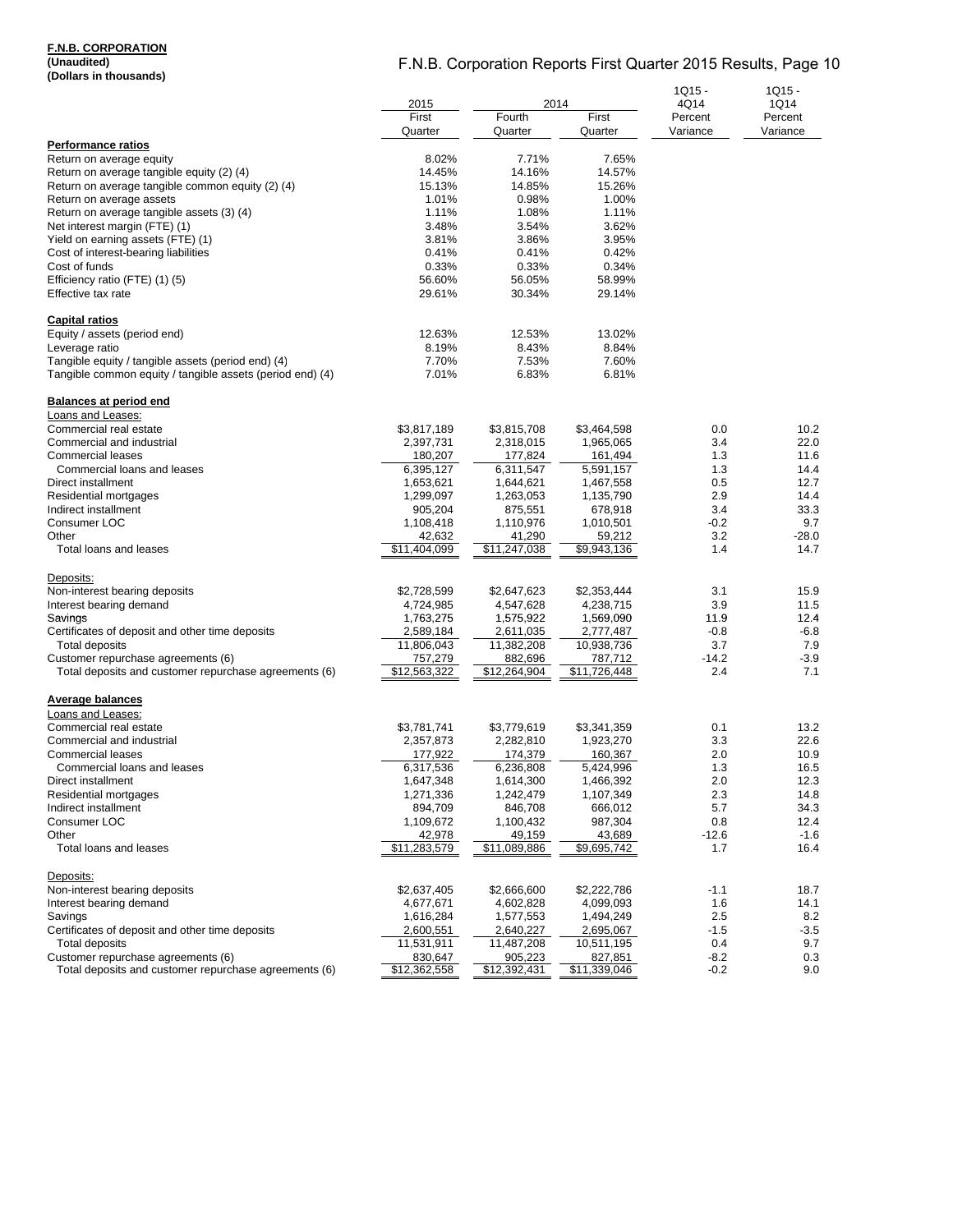### **F.N.B. CORPORATION**

**(Unaudited) (Dollars in thousands)**

|                                                                                             | 2014                     |                          | $1Q15 -$                 | $1Q15 -$         |                 |
|---------------------------------------------------------------------------------------------|--------------------------|--------------------------|--------------------------|------------------|-----------------|
|                                                                                             | 2015<br>First            | Fourth                   | First                    | 4Q14<br>Percent  | 1Q14<br>Percent |
|                                                                                             | Quarter                  | Quarter                  | Quarter                  | Variance         | Variance        |
| <b>Performance ratios</b>                                                                   |                          |                          |                          |                  |                 |
| Return on average equity                                                                    | 8.02%                    | 7.71%                    | 7.65%                    |                  |                 |
| Return on average tangible equity (2) (4)                                                   | 14.45%                   | 14.16%                   | 14.57%                   |                  |                 |
| Return on average tangible common equity (2) (4)<br>Return on average assets                | 15.13%<br>1.01%          | 14.85%<br>0.98%          | 15.26%<br>1.00%          |                  |                 |
| Return on average tangible assets (3) (4)                                                   | 1.11%                    | 1.08%                    | 1.11%                    |                  |                 |
| Net interest margin (FTE) (1)                                                               | 3.48%                    | 3.54%                    | 3.62%                    |                  |                 |
| Yield on earning assets (FTE) (1)                                                           | 3.81%                    | 3.86%                    | 3.95%                    |                  |                 |
| Cost of interest-bearing liabilities                                                        | 0.41%                    | 0.41%                    | 0.42%                    |                  |                 |
| Cost of funds                                                                               | 0.33%                    | 0.33%                    | 0.34%                    |                  |                 |
| Efficiency ratio (FTE) (1) (5)                                                              | 56.60%                   | 56.05%                   | 58.99%                   |                  |                 |
| Effective tax rate                                                                          | 29.61%                   | 30.34%                   | 29.14%                   |                  |                 |
| <b>Capital ratios</b>                                                                       |                          |                          |                          |                  |                 |
| Equity / assets (period end)                                                                | 12.63%                   | 12.53%                   | 13.02%                   |                  |                 |
| Leverage ratio                                                                              | 8.19%                    | 8.43%                    | 8.84%                    |                  |                 |
| Tangible equity / tangible assets (period end) (4)                                          | 7.70%                    | 7.53%                    | 7.60%                    |                  |                 |
| Tangible common equity / tangible assets (period end) (4)                                   | 7.01%                    | 6.83%                    | 6.81%                    |                  |                 |
| <b>Balances at period end</b>                                                               |                          |                          |                          |                  |                 |
| Loans and Leases:                                                                           |                          |                          |                          |                  |                 |
| Commercial real estate                                                                      | \$3,817,189              | \$3,815,708              | \$3,464,598              | 0.0              | 10.2            |
| Commercial and industrial                                                                   | 2,397,731                | 2,318,015                | 1,965,065                | 3.4              | 22.0            |
| <b>Commercial leases</b>                                                                    | 180,207                  | 177,824                  | 161,494                  | 1.3              | 11.6            |
| Commercial loans and leases<br>Direct installment                                           | 6,395,127<br>1,653,621   | 6,311,547<br>1,644,621   | 5,591,157<br>1,467,558   | 1.3<br>0.5       | 14.4<br>12.7    |
| Residential mortgages                                                                       | 1,299,097                | 1,263,053                | 1,135,790                | 2.9              | 14.4            |
| Indirect installment                                                                        | 905,204                  | 875,551                  | 678,918                  | 3.4              | 33.3            |
| Consumer LOC                                                                                | 1,108,418                | 1,110,976                | 1,010,501                | $-0.2$           | 9.7             |
| Other                                                                                       | 42,632                   | 41,290                   | 59,212                   | 3.2              | $-28.0$         |
| Total loans and leases                                                                      | \$11,404,099             | \$11,247,038             | \$9,943,136              | 1.4              | 14.7            |
| Deposits:                                                                                   |                          |                          |                          |                  |                 |
| Non-interest bearing deposits                                                               | \$2,728,599              | \$2,647,623              | \$2,353,444              | 3.1              | 15.9            |
| Interest bearing demand                                                                     | 4,724,985                | 4,547,628                | 4,238,715                | 3.9              | 11.5            |
| Savings                                                                                     | 1,763,275                | 1,575,922                | 1,569,090                | 11.9             | 12.4            |
| Certificates of deposit and other time deposits                                             | 2,589,184                | 2,611,035                | 2,777,487                | $-0.8$           | $-6.8$          |
| <b>Total deposits</b>                                                                       | 11,806,043               | 11,382,208               | 10,938,736               | 3.7              | 7.9             |
| Customer repurchase agreements (6)<br>Total deposits and customer repurchase agreements (6) | 757,279<br>\$12,563,322  | 882,696<br>\$12,264,904  | 787,712<br>\$11,726,448  | $-14.2$<br>2.4   | $-3.9$<br>7.1   |
|                                                                                             |                          |                          |                          |                  |                 |
| <b>Average balances</b>                                                                     |                          |                          |                          |                  |                 |
| Loans and Leases:<br>Commercial real estate                                                 |                          |                          |                          | 0.1              |                 |
| Commercial and industrial                                                                   | \$3,781,741<br>2,357,873 | \$3,779,619<br>2,282,810 | \$3,341,359<br>1,923,270 | 3.3              | 13.2<br>22.6    |
| <b>Commercial leases</b>                                                                    | 177,922                  | 174,379                  | 160,367                  | 2.0              | 10.9            |
| Commercial loans and leases                                                                 | 6,317,536                | 6,236,808                | 5.424.996                | 1.3              | 16.5            |
| Direct installment                                                                          | 1,647,348                | 1,614,300                | 1,466,392                | 2.0              | 12.3            |
| Residential mortgages                                                                       | 1,271,336                | 1,242,479                | 1,107,349                | 2.3              | 14.8            |
| Indirect installment                                                                        | 894,709                  | 846,708                  | 666,012                  | 5.7              | 34.3            |
| Consumer LOC                                                                                | 1,109,672                | 1,100,432                | 987,304                  | 0.8              | 12.4            |
| Other                                                                                       | 42,978                   | 49,159                   | 43,689                   | $-12.6$          | $-1.6$          |
| Total loans and leases                                                                      | \$11,283,579             | \$11,089,886             | \$9,695,742              | 1.7              | 16.4            |
| Deposits:                                                                                   |                          |                          |                          |                  |                 |
| Non-interest bearing deposits                                                               | \$2,637,405              | \$2,666,600              | \$2,222,786              | $-1.1$           | 18.7            |
| Interest bearing demand                                                                     | 4,677,671                | 4,602,828                | 4,099,093                | 1.6              | 14.1            |
| Savings                                                                                     | 1,616,284                | 1,577,553                | 1,494,249                | 2.5              | 8.2             |
| Certificates of deposit and other time deposits                                             | 2,600,551                | 2,640,227                | 2,695,067                | $-1.5$           | $-3.5$          |
| <b>Total deposits</b>                                                                       | 11,531,911               | 11,487,208               | 10,511,195               | 0.4              | 9.7             |
| Customer repurchase agreements (6)<br>Total deposits and customer repurchase agreements (6) | 830,647<br>\$12,362,558  | 905,223<br>\$12,392,431  | 827,851<br>\$11,339,046  | $-8.2$<br>$-0.2$ | 0.3<br>9.0      |
|                                                                                             |                          |                          |                          |                  |                 |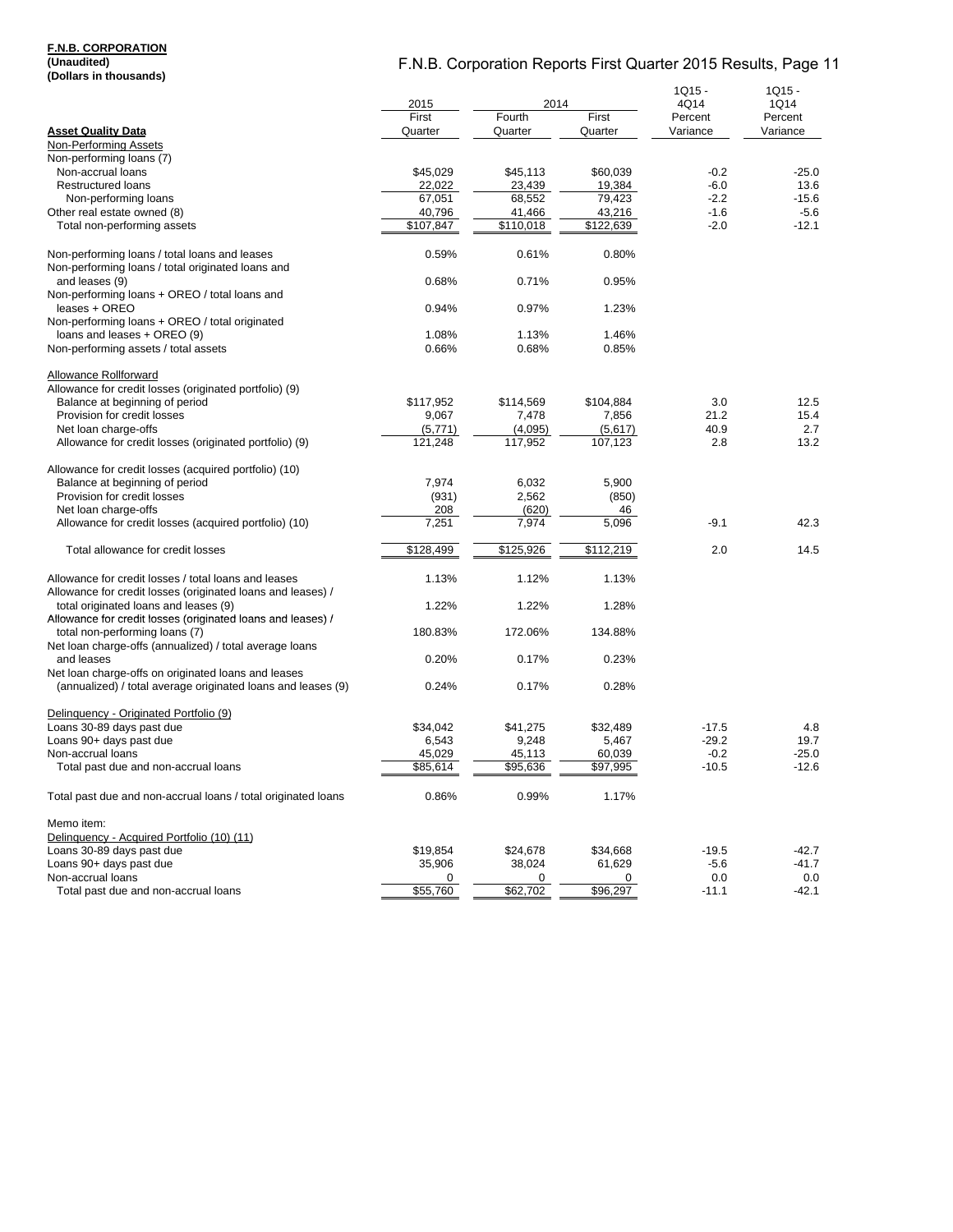### **F.N.B. CORPORATION**

**(Unaudited) (Dollars in thousands)**

| (DUIIAI 5 III LIIUUSAIIUS)                                    |                    |                    |                    | $1Q15 -$ | $1Q15 -$ |
|---------------------------------------------------------------|--------------------|--------------------|--------------------|----------|----------|
|                                                               | 2015               | 2014               |                    | 4Q14     | 1Q14     |
|                                                               | First              | Fourth             | First              | Percent  | Percent  |
| <b>Asset Quality Data</b>                                     | Quarter            | Quarter            | Quarter            | Variance | Variance |
| Non-Performing Assets                                         |                    |                    |                    |          |          |
| Non-performing loans (7)                                      |                    |                    |                    |          |          |
| Non-accrual loans                                             | \$45,029           | \$45,113           | \$60,039           | $-0.2$   | $-25.0$  |
|                                                               |                    |                    |                    |          |          |
| <b>Restructured loans</b>                                     | 22,022             | 23,439             | 19,384             | $-6.0$   | 13.6     |
| Non-performing loans                                          | 67,051             | 68,552             | 79,423             | $-2.2$   | $-15.6$  |
| Other real estate owned (8)                                   | 40,796             | 41,466             | 43,216             | $-1.6$   | $-5.6$   |
| Total non-performing assets                                   | \$107,847          | \$110,018          | \$122,639          | $-2.0$   | $-12.1$  |
|                                                               |                    |                    |                    |          |          |
| Non-performing loans / total loans and leases                 | 0.59%              | 0.61%              | 0.80%              |          |          |
| Non-performing loans / total originated loans and             |                    |                    |                    |          |          |
| and leases (9)                                                | 0.68%              | 0.71%              | 0.95%              |          |          |
| Non-performing loans + OREO / total loans and                 |                    |                    |                    |          |          |
| leases + OREO                                                 | 0.94%              | 0.97%              | 1.23%              |          |          |
| Non-performing loans + OREO / total originated                |                    |                    |                    |          |          |
| loans and leases + OREO (9)                                   | 1.08%              | 1.13%              | 1.46%              |          |          |
| Non-performing assets / total assets                          | 0.66%              | 0.68%              | 0.85%              |          |          |
|                                                               |                    |                    |                    |          |          |
| Allowance Rollforward                                         |                    |                    |                    |          |          |
| Allowance for credit losses (originated portfolio) (9)        |                    |                    |                    |          |          |
| Balance at beginning of period                                | \$117,952          | \$114,569          | \$104,884          | 3.0      | 12.5     |
| Provision for credit losses                                   | 9,067              | 7,478              | 7,856              | 21.2     | 15.4     |
| Net loan charge-offs                                          | (5,771)            | (4,095)            | (5,617)            | 40.9     | 2.7      |
| Allowance for credit losses (originated portfolio) (9)        | 121,248            | 117,952            | 107,123            | 2.8      | 13.2     |
|                                                               |                    |                    |                    |          |          |
| Allowance for credit losses (acquired portfolio) (10)         |                    |                    |                    |          |          |
| Balance at beginning of period                                | 7,974              | 6,032              | 5,900              |          |          |
| Provision for credit losses                                   | (931)              | 2,562              | (850)              |          |          |
| Net loan charge-offs                                          | 208                | (620)              | 46                 |          |          |
| Allowance for credit losses (acquired portfolio) (10)         | 7,251              | 7,974              | 5,096              | $-9.1$   | 42.3     |
|                                                               |                    |                    |                    |          |          |
| Total allowance for credit losses                             | \$128,499          | \$125,926          | \$112,219          | 2.0      | 14.5     |
|                                                               |                    |                    |                    |          |          |
| Allowance for credit losses / total loans and leases          | 1.13%              | 1.12%              | 1.13%              |          |          |
| Allowance for credit losses (originated loans and leases) /   |                    |                    |                    |          |          |
| total originated loans and leases (9)                         | 1.22%              | 1.22%              | 1.28%              |          |          |
| Allowance for credit losses (originated loans and leases) /   |                    |                    |                    |          |          |
| total non-performing loans (7)                                | 180.83%            | 172.06%            | 134.88%            |          |          |
| Net loan charge-offs (annualized) / total average loans       |                    |                    |                    |          |          |
| and leases                                                    | 0.20%              | 0.17%              | 0.23%              |          |          |
| Net loan charge-offs on originated loans and leases           |                    |                    |                    |          |          |
| (annualized) / total average originated loans and leases (9)  | 0.24%              | 0.17%              | 0.28%              |          |          |
|                                                               |                    |                    |                    |          |          |
| Delinquency - Originated Portfolio (9)                        |                    |                    |                    |          |          |
| Loans 30-89 days past due                                     | \$34,042           | \$41,275           | \$32,489           | $-17.5$  | 4.8      |
| Loans 90+ days past due                                       | 6,543              | 9,248              | 5,467              | $-29.2$  | 19.7     |
| Non-accrual loans                                             |                    |                    |                    | $-0.2$   | $-25.0$  |
|                                                               | 45,029<br>\$85,614 | 45,113<br>\$95,636 | 60,039<br>\$97,995 | $-10.5$  | $-12.6$  |
| Total past due and non-accrual loans                          |                    |                    |                    |          |          |
|                                                               |                    |                    |                    |          |          |
| Total past due and non-accrual loans / total originated loans | 0.86%              | 0.99%              | 1.17%              |          |          |
|                                                               |                    |                    |                    |          |          |
| Memo item:                                                    |                    |                    |                    |          |          |
| Delinquency - Acquired Portfolio (10) (11)                    |                    |                    |                    |          |          |
| Loans 30-89 days past due                                     | \$19,854           | \$24,678           | \$34,668           | $-19.5$  | -42.7    |
| Loans 90+ days past due                                       | 35,906             | 38,024             | 61,629             | $-5.6$   | -41.7    |
| Non-accrual loans                                             | 0                  | 0                  | 0                  | 0.0      | 0.0      |
| Total past due and non-accrual loans                          | \$55,760           | \$62,702           | \$96,297           | $-11.1$  | -42.1    |
|                                                               |                    |                    |                    |          |          |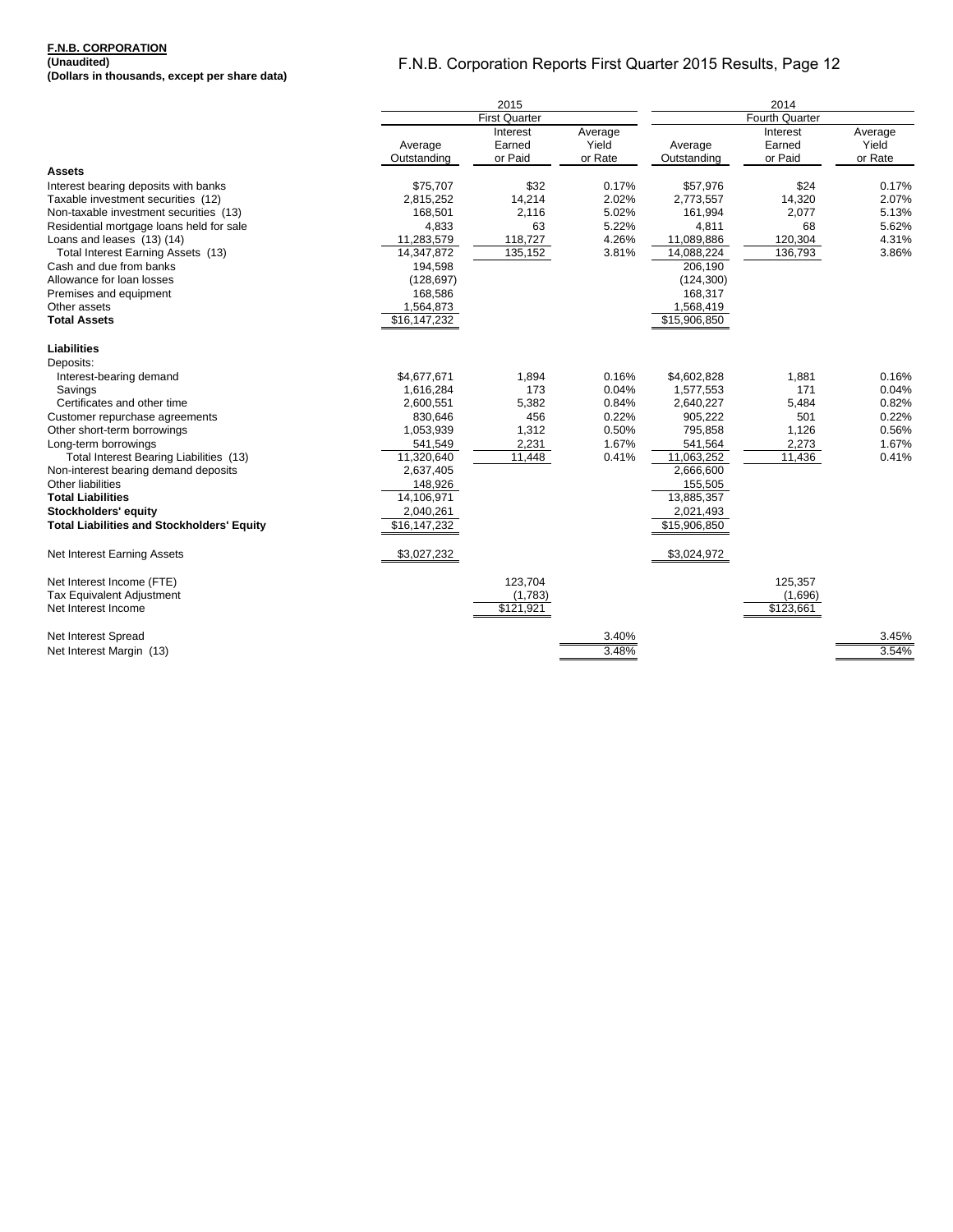#### **F.N.B. CORPORATION (Unaudited)**

**(Dollars in thousands, except per share data)**

|                                                   | 2015                   |                               |                             | 2014                   |                               |                             |  |
|---------------------------------------------------|------------------------|-------------------------------|-----------------------------|------------------------|-------------------------------|-----------------------------|--|
|                                                   |                        | <b>First Quarter</b>          |                             |                        | Fourth Quarter                |                             |  |
|                                                   | Average<br>Outstanding | Interest<br>Earned<br>or Paid | Average<br>Yield<br>or Rate | Average<br>Outstanding | Interest<br>Earned<br>or Paid | Average<br>Yield<br>or Rate |  |
| Assets                                            |                        |                               |                             |                        |                               |                             |  |
| Interest bearing deposits with banks              | \$75,707               | \$32                          | 0.17%                       | \$57,976               | \$24                          | 0.17%                       |  |
| Taxable investment securities (12)                | 2,815,252              | 14,214                        | 2.02%                       | 2,773,557              | 14,320                        | 2.07%                       |  |
| Non-taxable investment securities (13)            | 168,501                | 2,116                         | 5.02%                       | 161,994                | 2,077                         | 5.13%                       |  |
| Residential mortgage loans held for sale          | 4,833                  | 63                            | 5.22%                       | 4,811                  | 68                            | 5.62%                       |  |
| Loans and leases (13) (14)                        | 11,283,579             | 118,727                       | 4.26%                       | 11,089,886             | 120,304                       | 4.31%                       |  |
| Total Interest Earning Assets (13)                | 14,347,872             | 135,152                       | 3.81%                       | 14,088,224             | 136,793                       | 3.86%                       |  |
| Cash and due from banks                           | 194,598                |                               |                             | 206,190                |                               |                             |  |
| Allowance for loan losses                         | (128, 697)             |                               |                             | (124, 300)             |                               |                             |  |
| Premises and equipment                            | 168,586                |                               |                             | 168,317                |                               |                             |  |
| Other assets                                      | 1,564,873              |                               |                             | 1,568,419              |                               |                             |  |
| <b>Total Assets</b>                               | \$16,147,232           |                               |                             | \$15,906,850           |                               |                             |  |
| <b>Liabilities</b>                                |                        |                               |                             |                        |                               |                             |  |
| Deposits:                                         |                        |                               |                             |                        |                               |                             |  |
| Interest-bearing demand                           | \$4,677,671            | 1,894                         | 0.16%                       | \$4,602,828            | 1,881                         | 0.16%                       |  |
| Savings                                           | 1,616,284              | 173                           | 0.04%                       | 1,577,553              | 171                           | 0.04%                       |  |
| Certificates and other time                       | 2,600,551              | 5,382                         | 0.84%                       | 2,640,227              | 5,484                         | 0.82%                       |  |
| Customer repurchase agreements                    | 830,646                | 456                           | 0.22%                       | 905,222                | 501                           | 0.22%                       |  |
| Other short-term borrowings                       | 1,053,939              | 1,312                         | 0.50%                       | 795,858                | 1,126                         | 0.56%                       |  |
| Long-term borrowings                              | 541,549                | 2,231                         | 1.67%                       | 541,564                | 2,273                         | 1.67%                       |  |
| Total Interest Bearing Liabilities (13)           | 11,320,640             | 11,448                        | 0.41%                       | 11,063,252             | 11,436                        | 0.41%                       |  |
| Non-interest bearing demand deposits              | 2,637,405              |                               |                             | 2,666,600              |                               |                             |  |
| Other liabilities                                 | 148,926                |                               |                             | 155,505                |                               |                             |  |
| <b>Total Liabilities</b>                          | 14,106,971             |                               |                             | 13,885,357             |                               |                             |  |
| Stockholders' equity                              | 2,040,261              |                               |                             | 2,021,493              |                               |                             |  |
| <b>Total Liabilities and Stockholders' Equity</b> | \$16,147,232           |                               |                             | \$15,906,850           |                               |                             |  |
| Net Interest Earning Assets                       | \$3,027,232            |                               |                             | \$3,024,972            |                               |                             |  |
| Net Interest Income (FTE)                         |                        | 123,704                       |                             |                        | 125,357                       |                             |  |
| <b>Tax Equivalent Adjustment</b>                  |                        | (1,783)                       |                             |                        | (1,696)                       |                             |  |
| Net Interest Income                               |                        | \$121,921                     |                             |                        | \$123,661                     |                             |  |
| Net Interest Spread                               |                        |                               | 3.40%                       |                        |                               | 3.45%                       |  |
| Net Interest Margin (13)                          |                        |                               | 3.48%                       |                        |                               | 3.54%                       |  |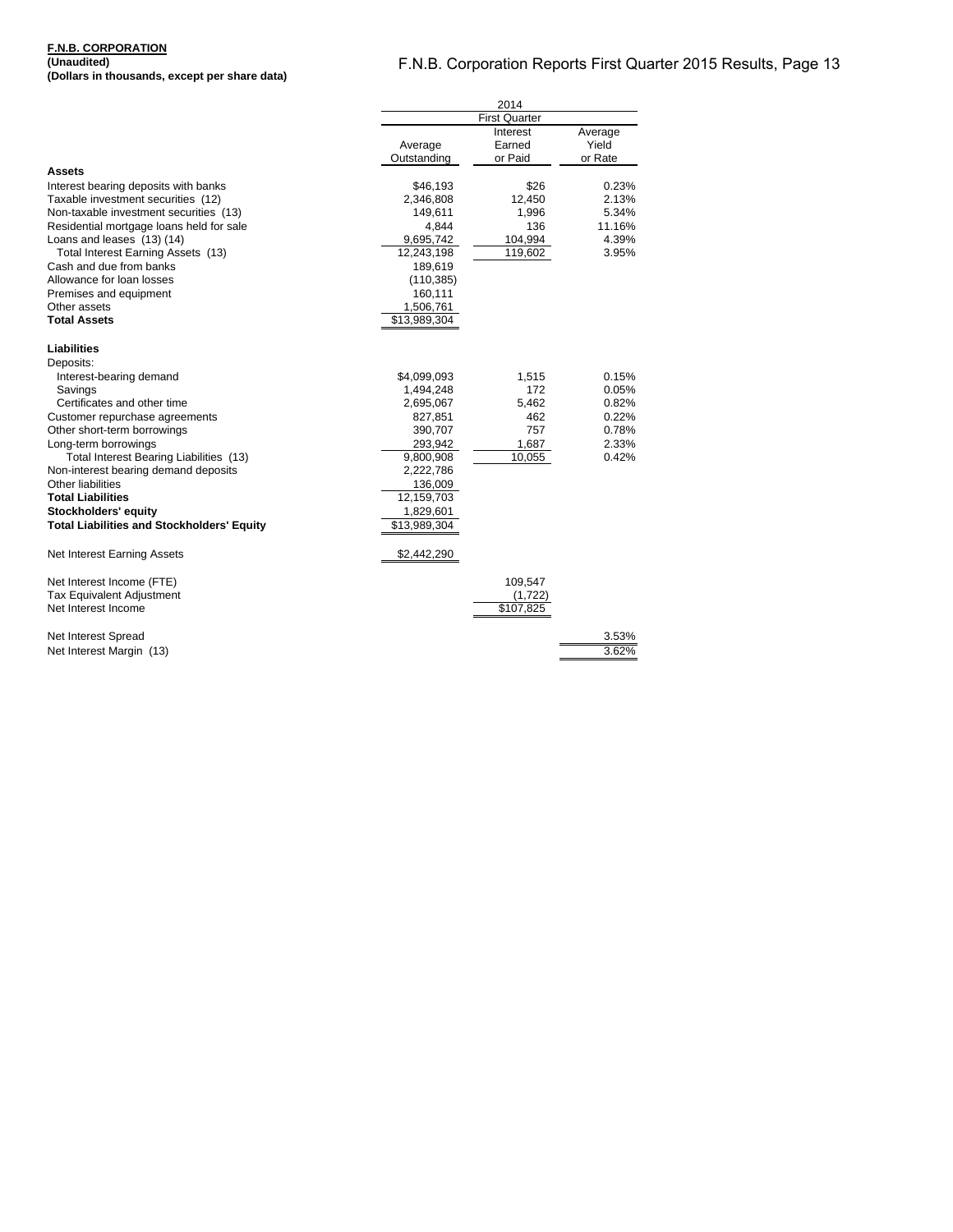### **F.N.B. CORPORATION (Unaudited)**

**(Dollars in thousands, except per share data)**

|                                                   | 2014                     |           |         |  |
|---------------------------------------------------|--------------------------|-----------|---------|--|
|                                                   | <b>First Quarter</b>     |           |         |  |
|                                                   |                          | Interest  | Average |  |
|                                                   | Average                  | Earned    | Yield   |  |
|                                                   | Outstanding              | or Paid   | or Rate |  |
| Assets                                            |                          |           |         |  |
| Interest bearing deposits with banks              | \$46,193                 | \$26      | 0.23%   |  |
| Taxable investment securities (12)                | 2,346,808                | 12,450    | 2.13%   |  |
| Non-taxable investment securities (13)            | 149,611                  | 1,996     | 5.34%   |  |
| Residential mortgage loans held for sale          | 4,844                    | 136       | 11.16%  |  |
| Loans and leases (13) (14)                        | 9,695,742                | 104,994   | 4.39%   |  |
| Total Interest Earning Assets (13)                | 12,243,198               | 119,602   | 3.95%   |  |
| Cash and due from banks                           | 189,619                  |           |         |  |
| Allowance for loan losses                         | (110, 385)               |           |         |  |
| Premises and equipment                            | 160,111                  |           |         |  |
| Other assets                                      | 1,506,761                |           |         |  |
| <b>Total Assets</b>                               | \$13,989,304             |           |         |  |
|                                                   |                          |           |         |  |
| Liabilities                                       |                          |           |         |  |
| Deposits:                                         |                          |           |         |  |
| Interest-bearing demand                           | \$4,099,093              | 1,515     | 0.15%   |  |
| Savings                                           | 1,494,248                | 172       | 0.05%   |  |
| Certificates and other time                       | 2,695,067                | 5,462     | 0.82%   |  |
| Customer repurchase agreements                    | 827,851                  | 462       | 0.22%   |  |
| Other short-term borrowings                       | 390,707                  | 757       | 0.78%   |  |
| Long-term borrowings                              | 293,942                  | 1,687     | 2.33%   |  |
| Total Interest Bearing Liabilities (13)           | 9,800,908                | 10,055    | 0.42%   |  |
| Non-interest bearing demand deposits              | 2,222,786                |           |         |  |
| Other liabilities                                 | 136,009                  |           |         |  |
| <b>Total Liabilities</b>                          | 12,159,703               |           |         |  |
| Stockholders' equity                              | 1,829,601                |           |         |  |
| <b>Total Liabilities and Stockholders' Equity</b> | $\overline{$}13,989,304$ |           |         |  |
|                                                   |                          |           |         |  |
| Net Interest Earning Assets                       | \$2,442,290              |           |         |  |
| Net Interest Income (FTE)                         |                          | 109,547   |         |  |
| <b>Tax Equivalent Adjustment</b>                  |                          | (1,722)   |         |  |
| Net Interest Income                               |                          | \$107,825 |         |  |
|                                                   |                          |           |         |  |
| Net Interest Spread                               |                          |           | 3.53%   |  |
| Net Interest Margin (13)                          |                          |           | 3.62%   |  |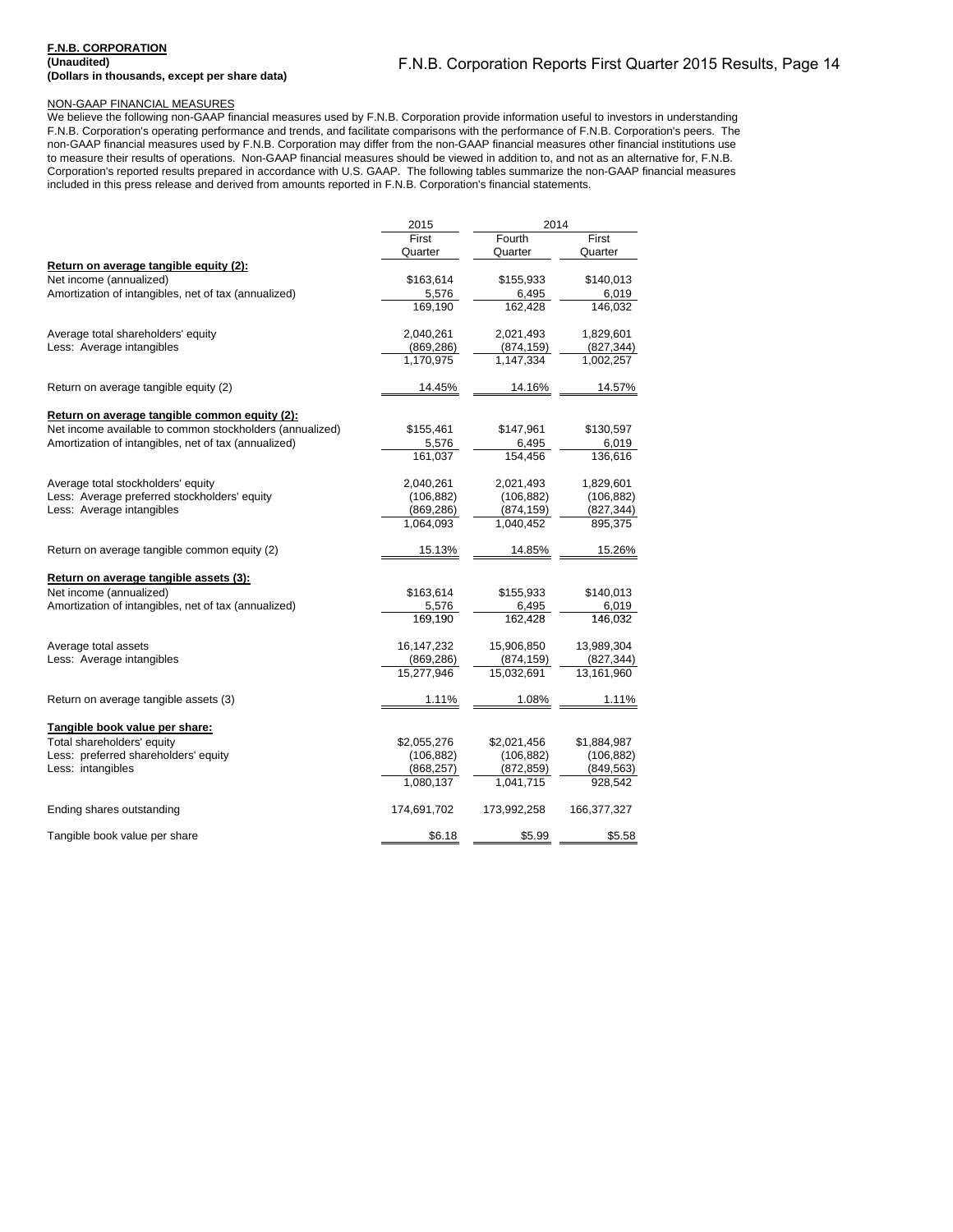#### **F.N.B. CORPORATION (Unaudited) (Dollars in thousands, except per share data)**

### NON-GAAP FINANCIAL MEASURES

We believe the following non-GAAP financial measures used by F.N.B. Corporation provide information useful to investors in understanding F.N.B. Corporation's operating performance and trends, and facilitate comparisons with the performance of F.N.B. Corporation's peers. The non-GAAP financial measures used by F.N.B. Corporation may differ from the non-GAAP financial measures other financial institutions use to measure their results of operations. Non-GAAP financial measures should be viewed in addition to, and not as an alternative for, F.N.B. Corporation's reported results prepared in accordance with U.S. GAAP. The following tables summarize the non-GAAP financial measures included in this press release and derived from amounts reported in F.N.B. Corporation's financial statements.

|                                                          | 2014<br>2015 |                      |             |  |
|----------------------------------------------------------|--------------|----------------------|-------------|--|
|                                                          | First        | $\overline{F}$ ourth | First       |  |
|                                                          | Quarter      | Quarter              | Quarter     |  |
| Return on average tangible equity (2):                   |              |                      |             |  |
| Net income (annualized)                                  | \$163,614    | \$155,933            | \$140,013   |  |
| Amortization of intangibles, net of tax (annualized)     | 5,576        | 6,495                | 6,019       |  |
|                                                          | 169,190      | 162,428              | 146,032     |  |
| Average total shareholders' equity                       | 2,040,261    | 2,021,493            | 1,829,601   |  |
| Less: Average intangibles                                | (869, 286)   | (874, 159)           | (827, 344)  |  |
|                                                          | 1,170,975    | 1,147,334            | 1,002,257   |  |
| Return on average tangible equity (2)                    | 14.45%       | 14.16%               | 14.57%      |  |
| Return on average tangible common equity (2):            |              |                      |             |  |
| Net income available to common stockholders (annualized) | \$155,461    | \$147,961            | \$130,597   |  |
| Amortization of intangibles, net of tax (annualized)     | 5,576        | 6,495                | 6,019       |  |
|                                                          | 161,037      | 154,456              | 136,616     |  |
| Average total stockholders' equity                       | 2,040,261    | 2,021,493            | 1,829,601   |  |
| Less: Average preferred stockholders' equity             | (106, 882)   | (106, 882)           | (106, 882)  |  |
| Less: Average intangibles                                | (869, 286)   | (874, 159)           | (827, 344)  |  |
|                                                          | 1,064,093    | 1,040,452            | 895,375     |  |
| Return on average tangible common equity (2)             | 15.13%       | 14.85%               | 15.26%      |  |
| Return on average tangible assets (3):                   |              |                      |             |  |
| Net income (annualized)                                  | \$163,614    | \$155,933            | \$140,013   |  |
| Amortization of intangibles, net of tax (annualized)     | 5,576        | 6,495                | 6,019       |  |
|                                                          | 169.190      | 162.428              | 146,032     |  |
| Average total assets                                     | 16, 147, 232 | 15,906,850           | 13,989,304  |  |
| Less: Average intangibles                                | (869, 286)   | (874, 159)           | (827, 344)  |  |
|                                                          | 15,277,946   | 15,032,691           | 13,161,960  |  |
| Return on average tangible assets (3)                    | 1.11%        | 1.08%                | 1.11%       |  |
| Tangible book value per share:                           |              |                      |             |  |
| Total shareholders' equity                               | \$2,055,276  | \$2,021,456          | \$1,884,987 |  |
| Less: preferred shareholders' equity                     | (106, 882)   | (106, 882)           | (106, 882)  |  |
| Less: intangibles                                        | (868, 257)   | (872, 859)           | (849, 563)  |  |
|                                                          | 1,080,137    | 1,041,715            | 928,542     |  |
| Ending shares outstanding                                | 174,691,702  | 173,992,258          | 166,377,327 |  |
| Tangible book value per share                            | \$6.18       | \$5.99               | \$5.58      |  |